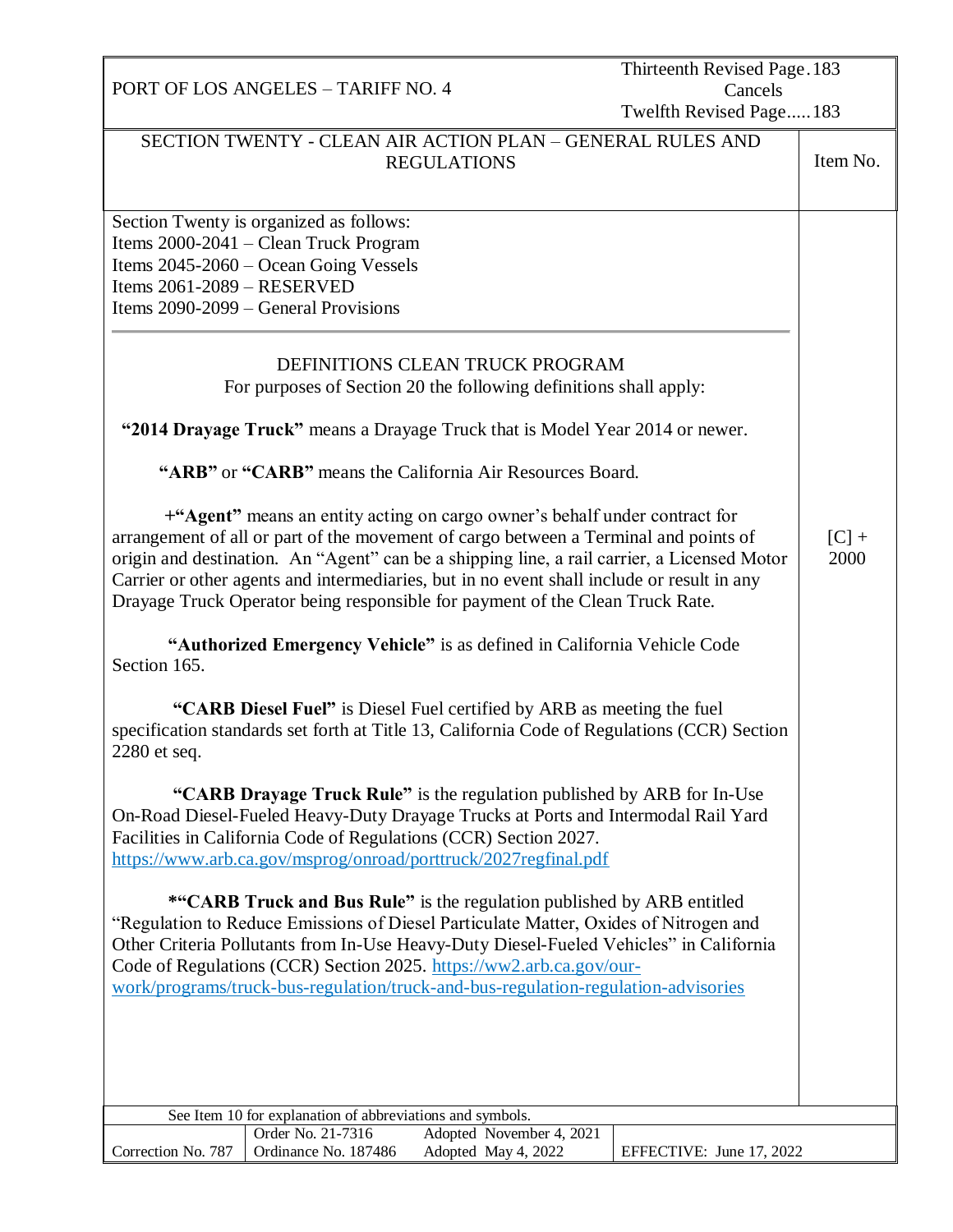|                                                                  | PORT OF LOS ANGELES - TARIFF NO. 4                                                                                                                                |                                                                                                                                                                                                                                                                                                                                                                                                                                                                                                                                                                                                                                                                                                                                                                                                                                                                                                                                                                                                                                                                                                                                                                                                                                                                                                                                                                                                                                                                                                                                                                                                                                                                                                 | Thirteenth Revised Page. 183<br>Cancels<br>Twelfth Revised Page 183 |                 |
|------------------------------------------------------------------|-------------------------------------------------------------------------------------------------------------------------------------------------------------------|-------------------------------------------------------------------------------------------------------------------------------------------------------------------------------------------------------------------------------------------------------------------------------------------------------------------------------------------------------------------------------------------------------------------------------------------------------------------------------------------------------------------------------------------------------------------------------------------------------------------------------------------------------------------------------------------------------------------------------------------------------------------------------------------------------------------------------------------------------------------------------------------------------------------------------------------------------------------------------------------------------------------------------------------------------------------------------------------------------------------------------------------------------------------------------------------------------------------------------------------------------------------------------------------------------------------------------------------------------------------------------------------------------------------------------------------------------------------------------------------------------------------------------------------------------------------------------------------------------------------------------------------------------------------------------------------------|---------------------------------------------------------------------|-----------------|
|                                                                  |                                                                                                                                                                   | SECTION TWENTY - CLEAN AIR ACTION PLAN - GENERAL RULES AND<br><b>REGULATIONS</b>                                                                                                                                                                                                                                                                                                                                                                                                                                                                                                                                                                                                                                                                                                                                                                                                                                                                                                                                                                                                                                                                                                                                                                                                                                                                                                                                                                                                                                                                                                                                                                                                                |                                                                     | Item No.        |
| Items $2061 - 2089 - RESERVED$<br>Section 165.<br>$2280$ et seq. | Section Twenty is organized as follows:<br>Items 2000-2041 – Clean Truck Program<br>Items 2045-2060 – Ocean Going Vessels<br>Items 2090-2099 – General Provisions | DEFINITIONS CLEAN TRUCK PROGRAM<br>For purposes of Section 20 the following definitions shall apply:<br>"2014 Drayage Truck" means a Drayage Truck that is Model Year 2014 or newer.<br>"ARB" or "CARB" means the California Air Resources Board.<br>+"Agent" means an entity acting on cargo owner's behalf under contract for<br>arrangement of all or part of the movement of cargo between a Terminal and points of<br>origin and destination. An "Agent" can be a shipping line, a rail carrier, a Licensed Motor<br>Carrier or other agents and intermediaries, but in no event shall include or result in any<br>Drayage Truck Operator being responsible for payment of the Clean Truck Rate.<br>"Authorized Emergency Vehicle" is as defined in California Vehicle Code<br>"CARB Diesel Fuel" is Diesel Fuel certified by ARB as meeting the fuel<br>specification standards set forth at Title 13, California Code of Regulations (CCR) Section<br>"CARB Drayage Truck Rule" is the regulation published by ARB for In-Use<br>On-Road Diesel-Fueled Heavy-Duty Drayage Trucks at Ports and Intermodal Rail Yard<br>Facilities in California Code of Regulations (CCR) Section 2027.<br>https://www.arb.ca.gov/msprog/onroad/porttruck/2027regfinal.pdf<br><b>*"CARB Truck and Bus Rule"</b> is the regulation published by ARB entitled<br>"Regulation to Reduce Emissions of Diesel Particulate Matter, Oxides of Nitrogen and<br>Other Criteria Pollutants from In-Use Heavy-Duty Diesel-Fueled Vehicles" in California<br>Code of Regulations (CCR) Section 2025. https://ww2.arb.ca.gov/our-<br>work/programs/truck-bus-regulation/truck-and-bus-regulation-regulation-advisories |                                                                     | $[C]$ +<br>2000 |
|                                                                  | See Item 10 for explanation of abbreviations and symbols.                                                                                                         |                                                                                                                                                                                                                                                                                                                                                                                                                                                                                                                                                                                                                                                                                                                                                                                                                                                                                                                                                                                                                                                                                                                                                                                                                                                                                                                                                                                                                                                                                                                                                                                                                                                                                                 |                                                                     |                 |
|                                                                  | Order No. 21-7316                                                                                                                                                 | Adopted November 4, 2021                                                                                                                                                                                                                                                                                                                                                                                                                                                                                                                                                                                                                                                                                                                                                                                                                                                                                                                                                                                                                                                                                                                                                                                                                                                                                                                                                                                                                                                                                                                                                                                                                                                                        |                                                                     |                 |
| Correction No. 787                                               | Ordinance No. 187486                                                                                                                                              | Adopted May 4, 2022                                                                                                                                                                                                                                                                                                                                                                                                                                                                                                                                                                                                                                                                                                                                                                                                                                                                                                                                                                                                                                                                                                                                                                                                                                                                                                                                                                                                                                                                                                                                                                                                                                                                             | EFFECTIVE: June 17, 2022                                            |                 |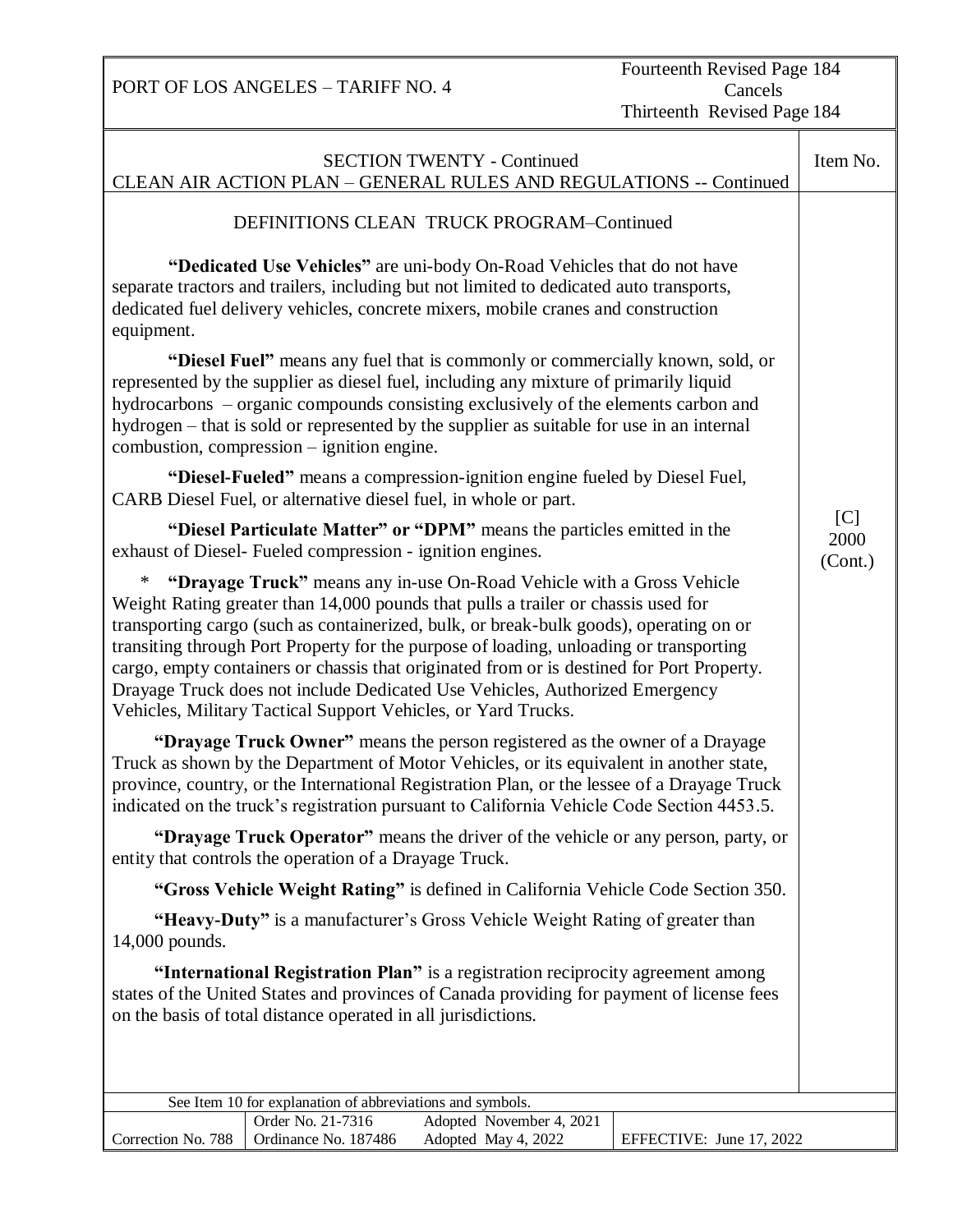PORT OF LOS ANGELES – TARIFF NO. 4 Cancels Thirteenth Revised Page 184 SECTION TWENTY - Continued CLEAN AIR ACTION PLAN – GENERAL RULES AND REGULATIONS -- Continued Item No. DEFINITIONS CLEAN TRUCK PROGRAM–Continued  **"Dedicated Use Vehicles"** are uni-body On-Road Vehicles that do not have separate tractors and trailers, including but not limited to dedicated auto transports, dedicated fuel delivery vehicles, concrete mixers, mobile cranes and construction equipment. **"Diesel Fuel"** means any fuel that is commonly or commercially known, sold, or represented by the supplier as diesel fuel, including any mixture of primarily liquid hydrocarbons – organic compounds consisting exclusively of the elements carbon and hydrogen – that is sold or represented by the supplier as suitable for use in an internal combustion, compression – ignition engine. **"Diesel-Fueled"** means a compression-ignition engine fueled by Diesel Fuel, CARB Diesel Fuel, or alternative diesel fuel, in whole or part. **"Diesel Particulate Matter" or "DPM"** means the particles emitted in the exhaust of Diesel- Fueled compression - ignition engines. \* **"Drayage Truck"** means any in-use On-Road Vehicle with a Gross Vehicle Weight Rating greater than 14,000 pounds that pulls a trailer or chassis used for transporting cargo (such as containerized, bulk, or break-bulk goods), operating on or transiting through Port Property for the purpose of loading, unloading or transporting cargo, empty containers or chassis that originated from or is destined for Port Property. Drayage Truck does not include Dedicated Use Vehicles, Authorized Emergency Vehicles, Military Tactical Support Vehicles, or Yard Trucks.  **"Drayage Truck Owner"** means the person registered as the owner of a Drayage Truck as shown by the Department of Motor Vehicles, or its equivalent in another state, province, country, or the International Registration Plan, or the lessee of a Drayage Truck indicated on the truck's registration pursuant to California Vehicle Code Section 4453.5.  **"Drayage Truck Operator"** means the driver of the vehicle or any person, party, or entity that controls the operation of a Drayage Truck.  **"Gross Vehicle Weight Rating"** is defined in California Vehicle Code Section 350.  **"Heavy-Duty"** is a manufacturer's Gross Vehicle Weight Rating of greater than 14,000 pounds.  **"International Registration Plan"** is a registration reciprocity agreement among states of the United States and provinces of Canada providing for payment of license fees on the basis of total distance operated in all jurisdictions. l  $[C]$ 2000 (Cont.) See Item 10 for explanation of abbreviations and symbols. Correction No. 788 Order No. 21-7316 Adopted November 4, 2021 Ordinance No. 187486 Adopted May 4, 2022 EFFECTIVE: June 17, 2022

Fourteenth Revised Page 184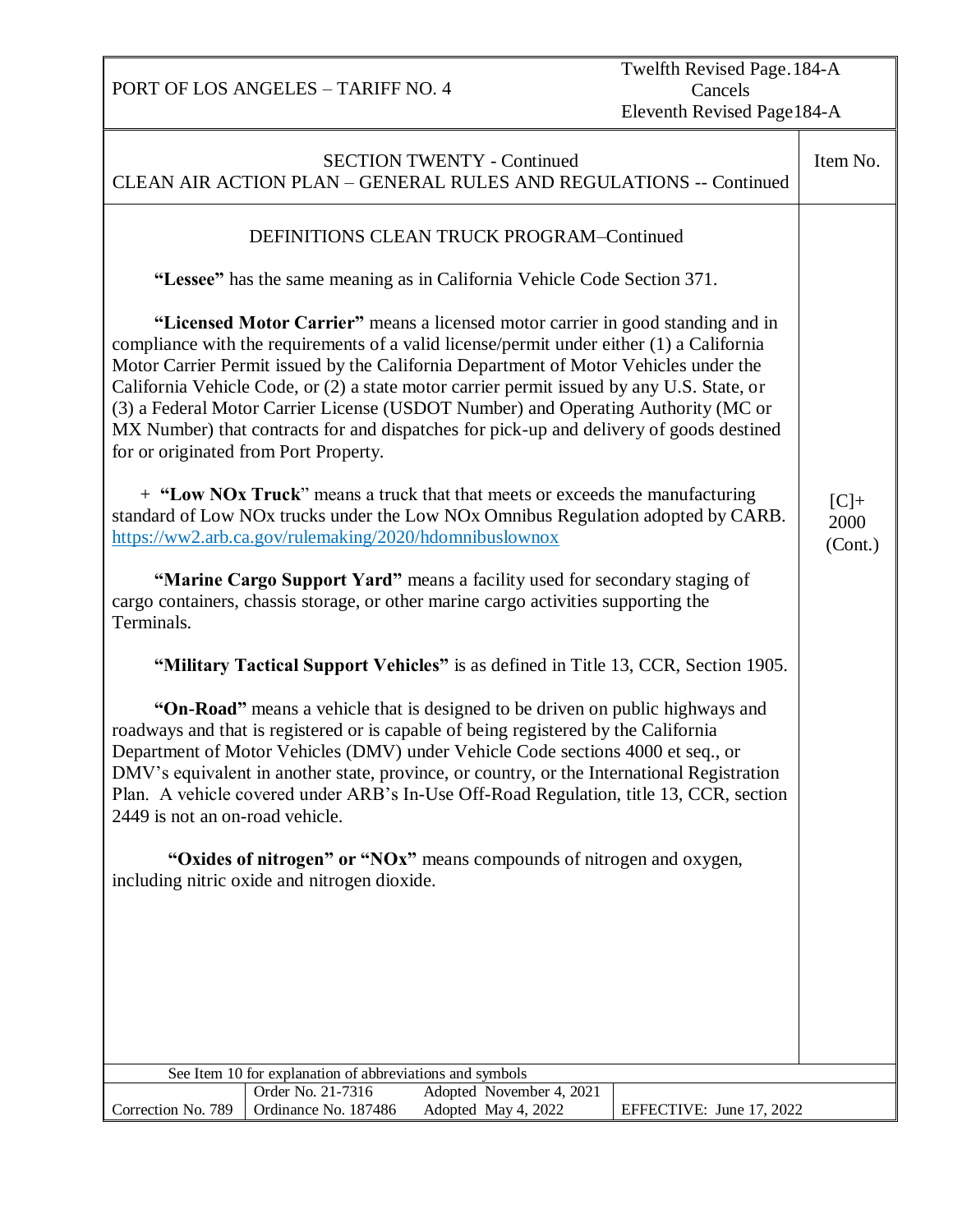Twelfth Revised Page.184-A Cancels Eleventh Revised Page184-A

| <b>SECTION TWENTY - Continued</b><br>CLEAN AIR ACTION PLAN - GENERAL RULES AND REGULATIONS -- Continued                                                                                                                                                                                                                                                                                                                                                                                                                                                                                   |                                                                                                                       |  |                          |                                                                                    |  |  |
|-------------------------------------------------------------------------------------------------------------------------------------------------------------------------------------------------------------------------------------------------------------------------------------------------------------------------------------------------------------------------------------------------------------------------------------------------------------------------------------------------------------------------------------------------------------------------------------------|-----------------------------------------------------------------------------------------------------------------------|--|--------------------------|------------------------------------------------------------------------------------|--|--|
|                                                                                                                                                                                                                                                                                                                                                                                                                                                                                                                                                                                           | DEFINITIONS CLEAN TRUCK PROGRAM-Continued                                                                             |  |                          |                                                                                    |  |  |
|                                                                                                                                                                                                                                                                                                                                                                                                                                                                                                                                                                                           | "Lessee" has the same meaning as in California Vehicle Code Section 371.                                              |  |                          |                                                                                    |  |  |
| "Licensed Motor Carrier" means a licensed motor carrier in good standing and in<br>compliance with the requirements of a valid license/permit under either (1) a California<br>Motor Carrier Permit issued by the California Department of Motor Vehicles under the<br>California Vehicle Code, or (2) a state motor carrier permit issued by any U.S. State, or<br>(3) a Federal Motor Carrier License (USDOT Number) and Operating Authority (MC or<br>MX Number) that contracts for and dispatches for pick-up and delivery of goods destined<br>for or originated from Port Property. |                                                                                                                       |  |                          |                                                                                    |  |  |
| + "Low NOx Truck" means a truck that that meets or exceeds the manufacturing<br>standard of Low NOx trucks under the Low NOx Omnibus Regulation adopted by CARB.<br>https://ww2.arb.ca.gov/rulemaking/2020/hdomnibuslownox                                                                                                                                                                                                                                                                                                                                                                |                                                                                                                       |  |                          |                                                                                    |  |  |
| "Marine Cargo Support Yard" means a facility used for secondary staging of<br>cargo containers, chassis storage, or other marine cargo activities supporting the<br>Terminals.                                                                                                                                                                                                                                                                                                                                                                                                            |                                                                                                                       |  |                          |                                                                                    |  |  |
|                                                                                                                                                                                                                                                                                                                                                                                                                                                                                                                                                                                           |                                                                                                                       |  |                          | "Military Tactical Support Vehicles" is as defined in Title 13, CCR, Section 1905. |  |  |
| "On-Road" means a vehicle that is designed to be driven on public highways and<br>roadways and that is registered or is capable of being registered by the California<br>Department of Motor Vehicles (DMV) under Vehicle Code sections 4000 et seq., or<br>DMV's equivalent in another state, province, or country, or the International Registration<br>Plan. A vehicle covered under ARB's In-Use Off-Road Regulation, title 13, CCR, section<br>2449 is not an on-road vehicle.                                                                                                       |                                                                                                                       |  |                          |                                                                                    |  |  |
|                                                                                                                                                                                                                                                                                                                                                                                                                                                                                                                                                                                           | "Oxides of nitrogen" or "NOx" means compounds of nitrogen and oxygen,<br>including nitric oxide and nitrogen dioxide. |  |                          |                                                                                    |  |  |
|                                                                                                                                                                                                                                                                                                                                                                                                                                                                                                                                                                                           |                                                                                                                       |  |                          |                                                                                    |  |  |
|                                                                                                                                                                                                                                                                                                                                                                                                                                                                                                                                                                                           |                                                                                                                       |  |                          |                                                                                    |  |  |
|                                                                                                                                                                                                                                                                                                                                                                                                                                                                                                                                                                                           |                                                                                                                       |  |                          |                                                                                    |  |  |
|                                                                                                                                                                                                                                                                                                                                                                                                                                                                                                                                                                                           |                                                                                                                       |  |                          |                                                                                    |  |  |
|                                                                                                                                                                                                                                                                                                                                                                                                                                                                                                                                                                                           | See Item 10 for explanation of abbreviations and symbols                                                              |  |                          |                                                                                    |  |  |
|                                                                                                                                                                                                                                                                                                                                                                                                                                                                                                                                                                                           | Order No. 21-7316                                                                                                     |  | Adopted November 4, 2021 |                                                                                    |  |  |
| Correction No. 789                                                                                                                                                                                                                                                                                                                                                                                                                                                                                                                                                                        | Ordinance No. 187486                                                                                                  |  | Adopted May 4, 2022      | EFFECTIVE: June 17, 2022                                                           |  |  |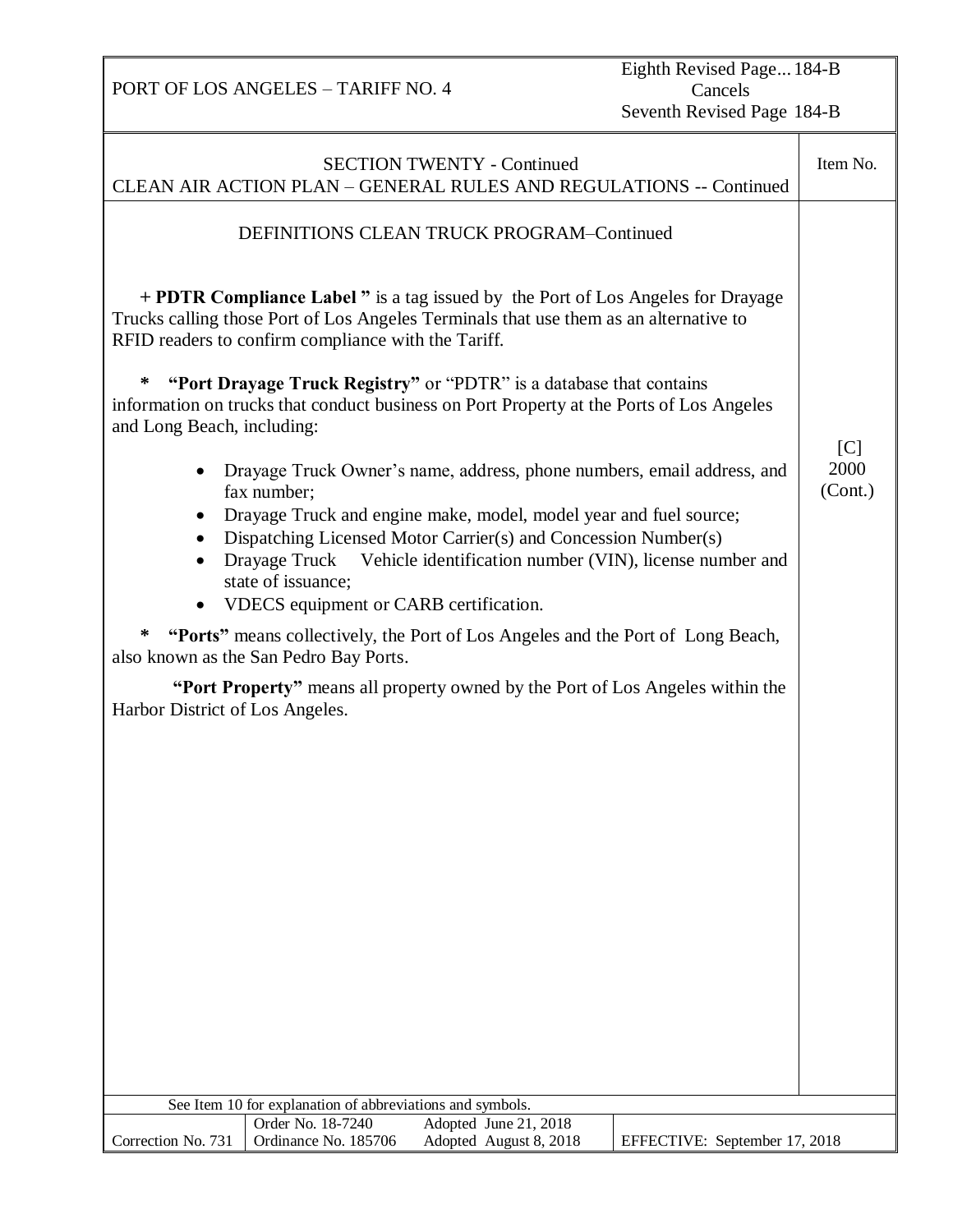Eighth Revised Page... 184-B Cancels Seventh Revised Page 184-B

| <b>SECTION TWENTY - Continued</b><br>CLEAN AIR ACTION PLAN - GENERAL RULES AND REGULATIONS -- Continued                                                                                                                                                                                                                                                                              |                                                           |                                                                                                                                                                                  |                               |                |  |  |
|--------------------------------------------------------------------------------------------------------------------------------------------------------------------------------------------------------------------------------------------------------------------------------------------------------------------------------------------------------------------------------------|-----------------------------------------------------------|----------------------------------------------------------------------------------------------------------------------------------------------------------------------------------|-------------------------------|----------------|--|--|
| DEFINITIONS CLEAN TRUCK PROGRAM-Continued                                                                                                                                                                                                                                                                                                                                            |                                                           |                                                                                                                                                                                  |                               |                |  |  |
|                                                                                                                                                                                                                                                                                                                                                                                      | RFID readers to confirm compliance with the Tariff.       | <b>+ PDTR Compliance Label</b> " is a tag issued by the Port of Los Angeles for Drayage<br>Trucks calling those Port of Los Angeles Terminals that use them as an alternative to |                               |                |  |  |
| ∗<br>and Long Beach, including:                                                                                                                                                                                                                                                                                                                                                      |                                                           | "Port Drayage Truck Registry" or "PDTR" is a database that contains<br>information on trucks that conduct business on Port Property at the Ports of Los Angeles                  |                               | $\overline{C}$ |  |  |
| Drayage Truck Owner's name, address, phone numbers, email address, and<br>fax number;<br>Drayage Truck and engine make, model, model year and fuel source;<br>Dispatching Licensed Motor Carrier(s) and Concession Number(s)<br>Drayage Truck Vehicle identification number (VIN), license number and<br>$\bullet$<br>state of issuance;<br>• VDECS equipment or CARB certification. |                                                           |                                                                                                                                                                                  |                               |                |  |  |
| ∗<br>"Ports" means collectively, the Port of Los Angeles and the Port of Long Beach,<br>also known as the San Pedro Bay Ports.                                                                                                                                                                                                                                                       |                                                           |                                                                                                                                                                                  |                               |                |  |  |
| Harbor District of Los Angeles.                                                                                                                                                                                                                                                                                                                                                      |                                                           | "Port Property" means all property owned by the Port of Los Angeles within the                                                                                                   |                               |                |  |  |
|                                                                                                                                                                                                                                                                                                                                                                                      | See Item 10 for explanation of abbreviations and symbols. |                                                                                                                                                                                  |                               |                |  |  |
|                                                                                                                                                                                                                                                                                                                                                                                      | Order No. 18-7240                                         | Adopted June 21, 2018                                                                                                                                                            |                               |                |  |  |
| Correction No. 731                                                                                                                                                                                                                                                                                                                                                                   | Ordinance No. 185706                                      | Adopted August 8, 2018                                                                                                                                                           | EFFECTIVE: September 17, 2018 |                |  |  |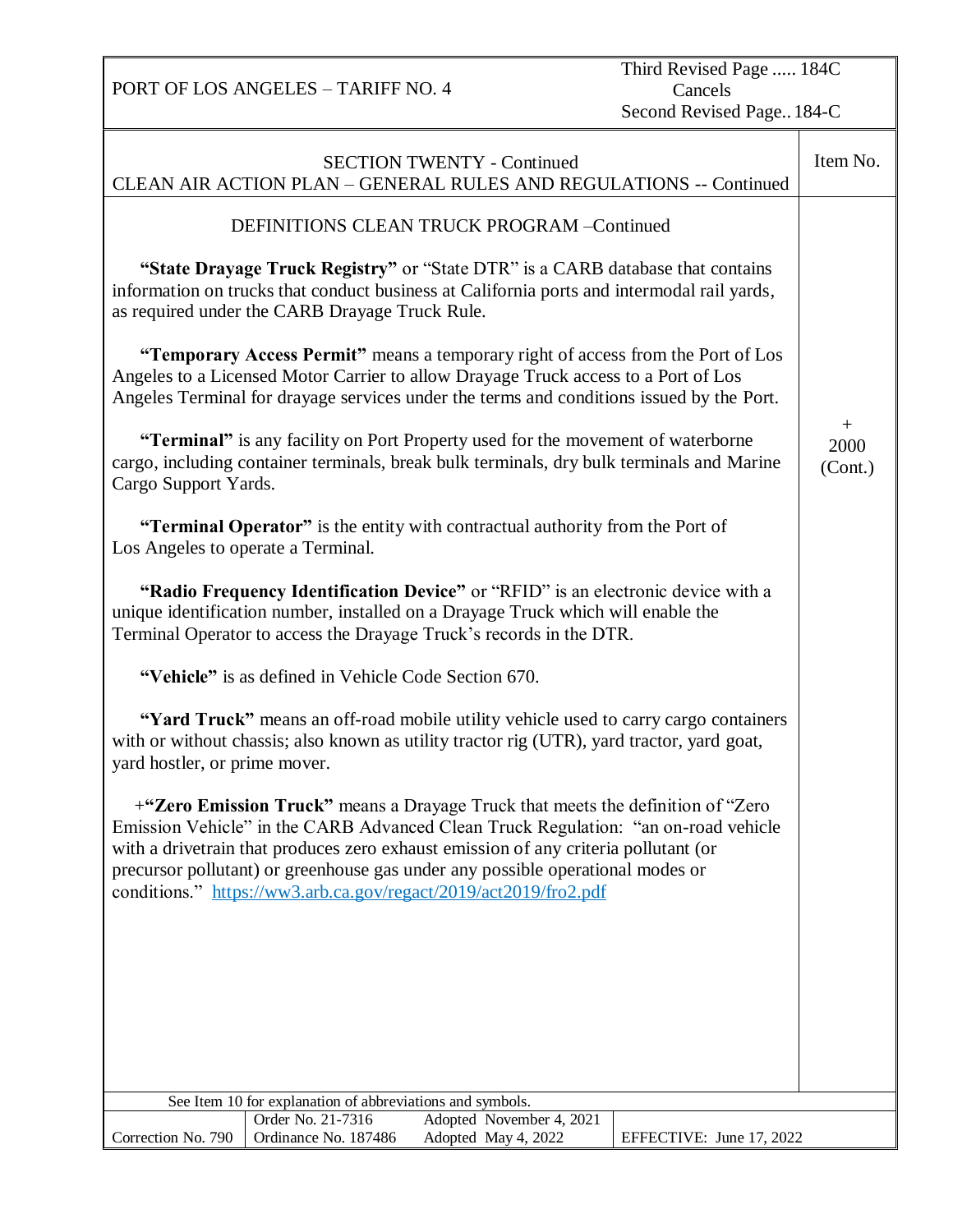PORT OF LOS ANGELES – TARIFF NO. 4 Third Revised Page ..... 184C Cancels Second Revised Page.. 184-C SECTION TWENTY - Continued CLEAN AIR ACTION PLAN – GENERAL RULES AND REGULATIONS -- Continued Item No. DEFINITIONS CLEAN TRUCK PROGRAM –Continued **"State Drayage Truck Registry"** or "State DTR" is a CARB database that contains information on trucks that conduct business at California ports and intermodal rail yards, as required under the CARB Drayage Truck Rule. **"Temporary Access Permit"** means a temporary right of access from the Port of Los Angeles to a Licensed Motor Carrier to allow Drayage Truck access to a Port of Los Angeles Terminal for drayage services under the terms and conditions issued by the Port. **"Terminal"** is any facility on Port Property used for the movement of waterborne cargo, including container terminals, break bulk terminals, dry bulk terminals and Marine Cargo Support Yards. **"Terminal Operator"** is the entity with contractual authority from the Port of Los Angeles to operate a Terminal. **"Radio Frequency Identification Device"** or "RFID" is an electronic device with a unique identification number, installed on a Drayage Truck which will enable the Terminal Operator to access the Drayage Truck's records in the DTR. **"Vehicle"** is as defined in Vehicle Code Section 670. **"Yard Truck"** means an off-road mobile utility vehicle used to carry cargo containers with or without chassis; also known as utility tractor rig (UTR), yard tractor, yard goat, yard hostler, or prime mover. +**"Zero Emission Truck"** means a Drayage Truck that meets the definition of "Zero Emission Vehicle" in the CARB Advanced Clean Truck Regulation: "an on-road vehicle with a drivetrain that produces zero exhaust emission of any criteria pollutant (or precursor pollutant) or greenhouse gas under any possible operational modes or conditions." <https://ww3.arb.ca.gov/regact/2019/act2019/fro2.pdf>  $+$ 2000 (Cont.) See Item 10 for explanation of abbreviations and symbols. Correction No. 790 Order No. 21-7316 Adopted November 4, 2021 Ordinance No. 187486 Adopted May 4, 2022 EFFECTIVE: June 17, 2022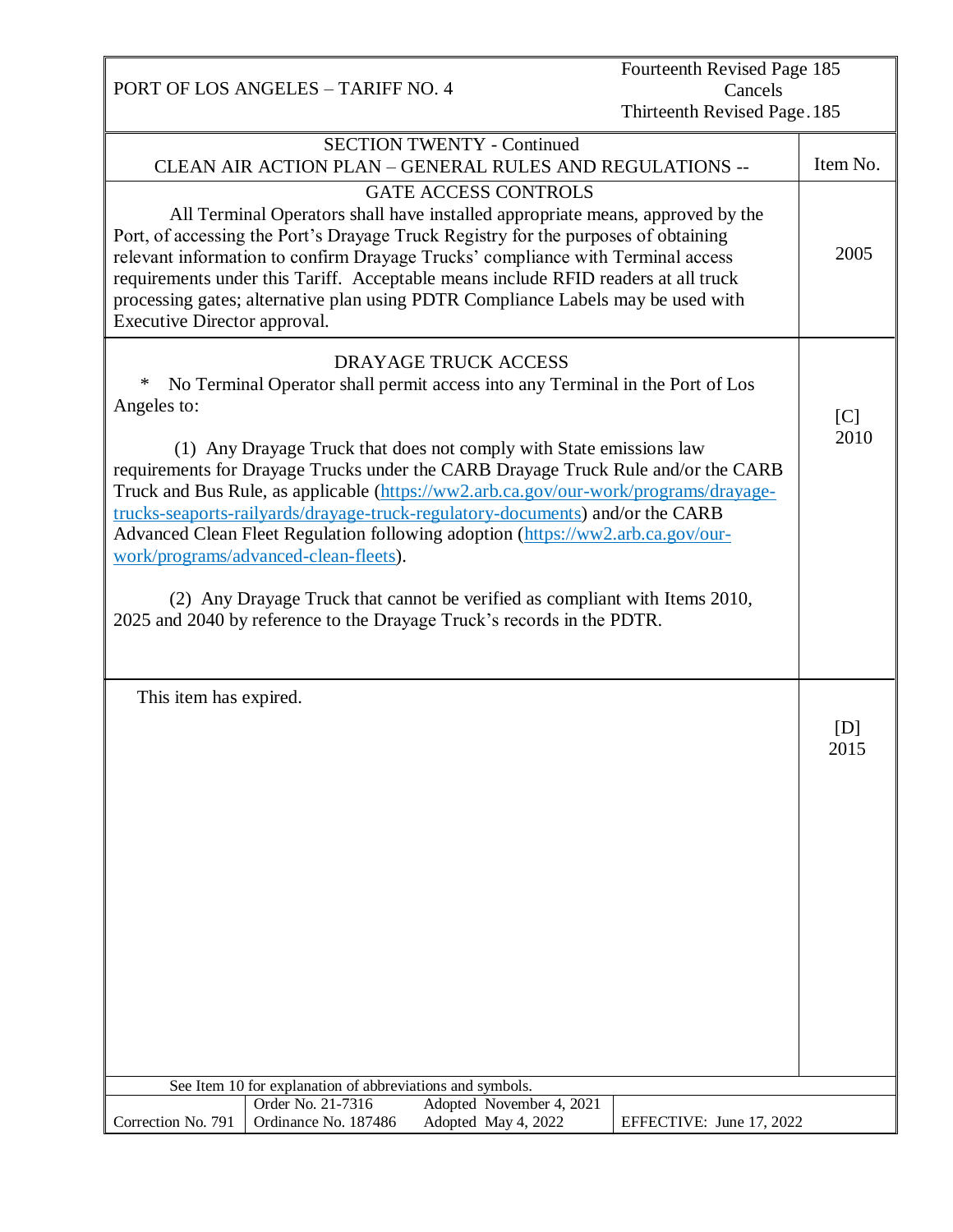PORT OF LOS ANGELES – TARIFF NO. 4 Fourteenth Revised Page 185 Cancels Thirteenth Revised Page.185 SECTION TWENTY - Continued CLEAN AIR ACTION PLAN – GENERAL RULES AND REGULATIONS -- GATE ACCESS CONTROLS Item No. All Terminal Operators shall have installed appropriate means, approved by the Port, of accessing the Port's Drayage Truck Registry for the purposes of obtaining relevant information to confirm Drayage Trucks' compliance with Terminal access requirements under this Tariff. Acceptable means include RFID readers at all truck processing gates; alternative plan using PDTR Compliance Labels may be used with Executive Director approval. DRAYAGE TRUCK ACCESS \* No Terminal Operator shall permit access into any Terminal in the Port of Los Angeles to: (1) Any Drayage Truck that does not comply with State emissions law requirements for Drayage Trucks under the CARB Drayage Truck Rule and/or the CARB Truck and Bus Rule, as applicable [\(https://ww2.arb.ca.gov/our-work/programs/drayage](https://ww2.arb.ca.gov/our-work/programs/drayage-trucks-seaports-railyards/drayage-truck-regulatory-documents)[trucks-seaports-railyards/drayage-truck-regulatory-documents\)](https://ww2.arb.ca.gov/our-work/programs/drayage-trucks-seaports-railyards/drayage-truck-regulatory-documents) and/or the CARB Advanced Clean Fleet Regulation following adoption [\(https://ww2.arb.ca.gov/our](https://ww2.arb.ca.gov/our-work/programs/advanced-clean-fleets)[work/programs/advanced-clean-fleets\)](https://ww2.arb.ca.gov/our-work/programs/advanced-clean-fleets). (2) Any Drayage Truck that cannot be verified as compliant with Items 2010, 2025 and 2040 by reference to the Drayage Truck's records in the PDTR. This item has expired. 2005  $\overline{a}$  $[C]$  2010  $[D]$ 2015 See Item 10 for explanation of abbreviations and symbols. Correction No. 791 Order No. 21-7316 Adopted November 4, 2021 Ordinance No. 187486 Adopted May 4, 2022 EFFECTIVE: June 17, 2022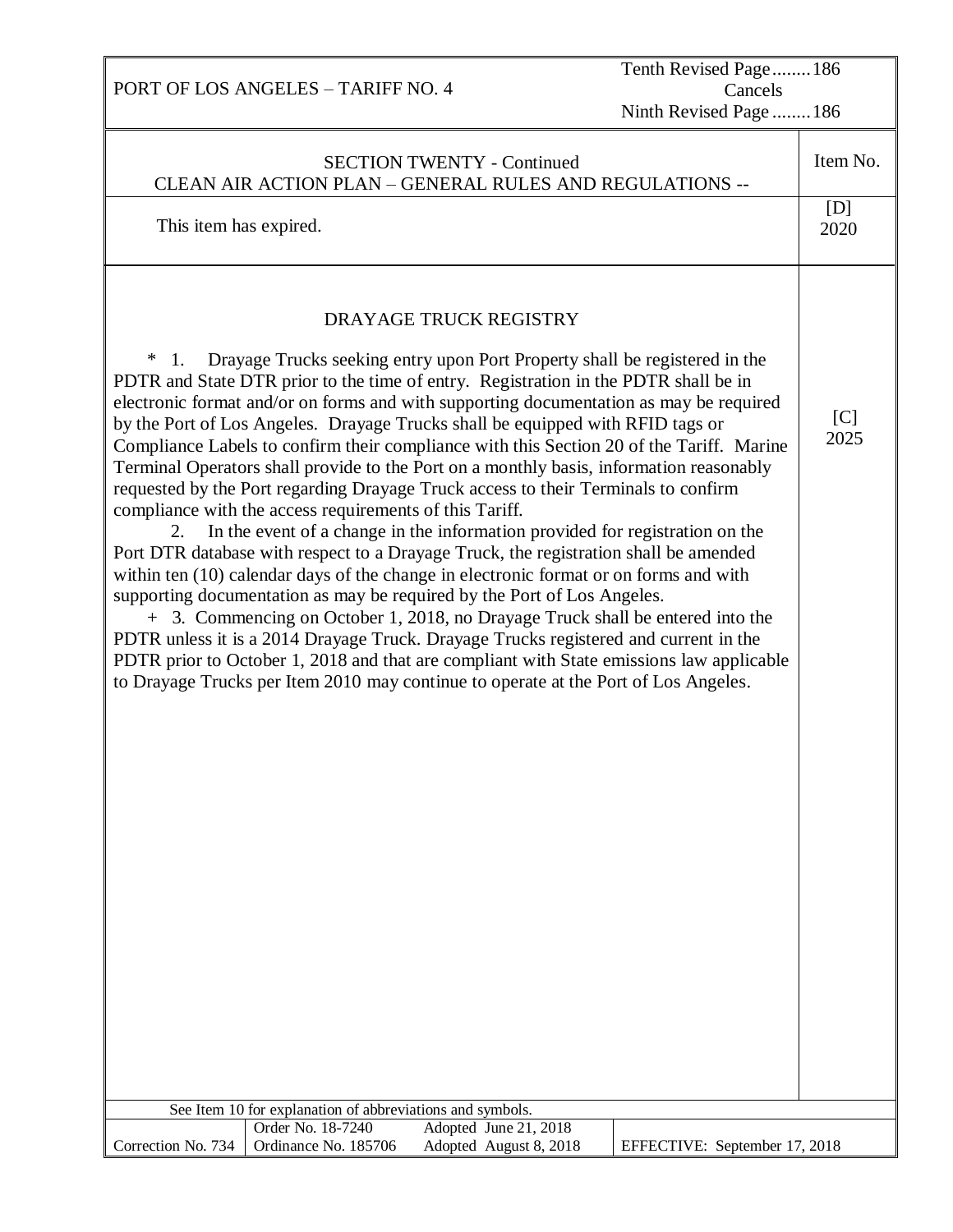| Tenth Revised Page186<br>PORT OF LOS ANGELES - TARIFF NO. 4<br>Cancels<br>Ninth Revised Page  186                                                                                                                                                                                                                                                                                                                                                                                                                                                                                                                                                                                                                                                                                                                                                                                                                                                                                                                                                                                                                                                                                                                                                                                                                                                                                                                                                                                                                                                                     |                               |  |  |  |  |  |
|-----------------------------------------------------------------------------------------------------------------------------------------------------------------------------------------------------------------------------------------------------------------------------------------------------------------------------------------------------------------------------------------------------------------------------------------------------------------------------------------------------------------------------------------------------------------------------------------------------------------------------------------------------------------------------------------------------------------------------------------------------------------------------------------------------------------------------------------------------------------------------------------------------------------------------------------------------------------------------------------------------------------------------------------------------------------------------------------------------------------------------------------------------------------------------------------------------------------------------------------------------------------------------------------------------------------------------------------------------------------------------------------------------------------------------------------------------------------------------------------------------------------------------------------------------------------------|-------------------------------|--|--|--|--|--|
| <b>SECTION TWENTY - Continued</b><br>CLEAN AIR ACTION PLAN - GENERAL RULES AND REGULATIONS --                                                                                                                                                                                                                                                                                                                                                                                                                                                                                                                                                                                                                                                                                                                                                                                                                                                                                                                                                                                                                                                                                                                                                                                                                                                                                                                                                                                                                                                                         | Item No.                      |  |  |  |  |  |
| This item has expired.                                                                                                                                                                                                                                                                                                                                                                                                                                                                                                                                                                                                                                                                                                                                                                                                                                                                                                                                                                                                                                                                                                                                                                                                                                                                                                                                                                                                                                                                                                                                                | [D]<br>2020                   |  |  |  |  |  |
| DRAYAGE TRUCK REGISTRY<br>Drayage Trucks seeking entry upon Port Property shall be registered in the<br>$\ast$<br>$\mathbf{1}$ .<br>PDTR and State DTR prior to the time of entry. Registration in the PDTR shall be in<br>electronic format and/or on forms and with supporting documentation as may be required<br>by the Port of Los Angeles. Drayage Trucks shall be equipped with RFID tags or<br>Compliance Labels to confirm their compliance with this Section 20 of the Tariff. Marine<br>Terminal Operators shall provide to the Port on a monthly basis, information reasonably<br>requested by the Port regarding Drayage Truck access to their Terminals to confirm<br>compliance with the access requirements of this Tariff.<br>In the event of a change in the information provided for registration on the<br>2.<br>Port DTR database with respect to a Drayage Truck, the registration shall be amended<br>within ten (10) calendar days of the change in electronic format or on forms and with<br>supporting documentation as may be required by the Port of Los Angeles.<br>+ 3. Commencing on October 1, 2018, no Drayage Truck shall be entered into the<br>PDTR unless it is a 2014 Drayage Truck. Drayage Trucks registered and current in the<br>PDTR prior to October 1, 2018 and that are compliant with State emissions law applicable<br>to Drayage Trucks per Item 2010 may continue to operate at the Port of Los Angeles.<br>See Item 10 for explanation of abbreviations and symbols.<br>Order No. 18-7240<br>Adopted June 21, 2018 | [C]<br>2025                   |  |  |  |  |  |
| Ordinance No. 185706<br>Adopted August 8, 2018<br>Correction No. 734                                                                                                                                                                                                                                                                                                                                                                                                                                                                                                                                                                                                                                                                                                                                                                                                                                                                                                                                                                                                                                                                                                                                                                                                                                                                                                                                                                                                                                                                                                  | EFFECTIVE: September 17, 2018 |  |  |  |  |  |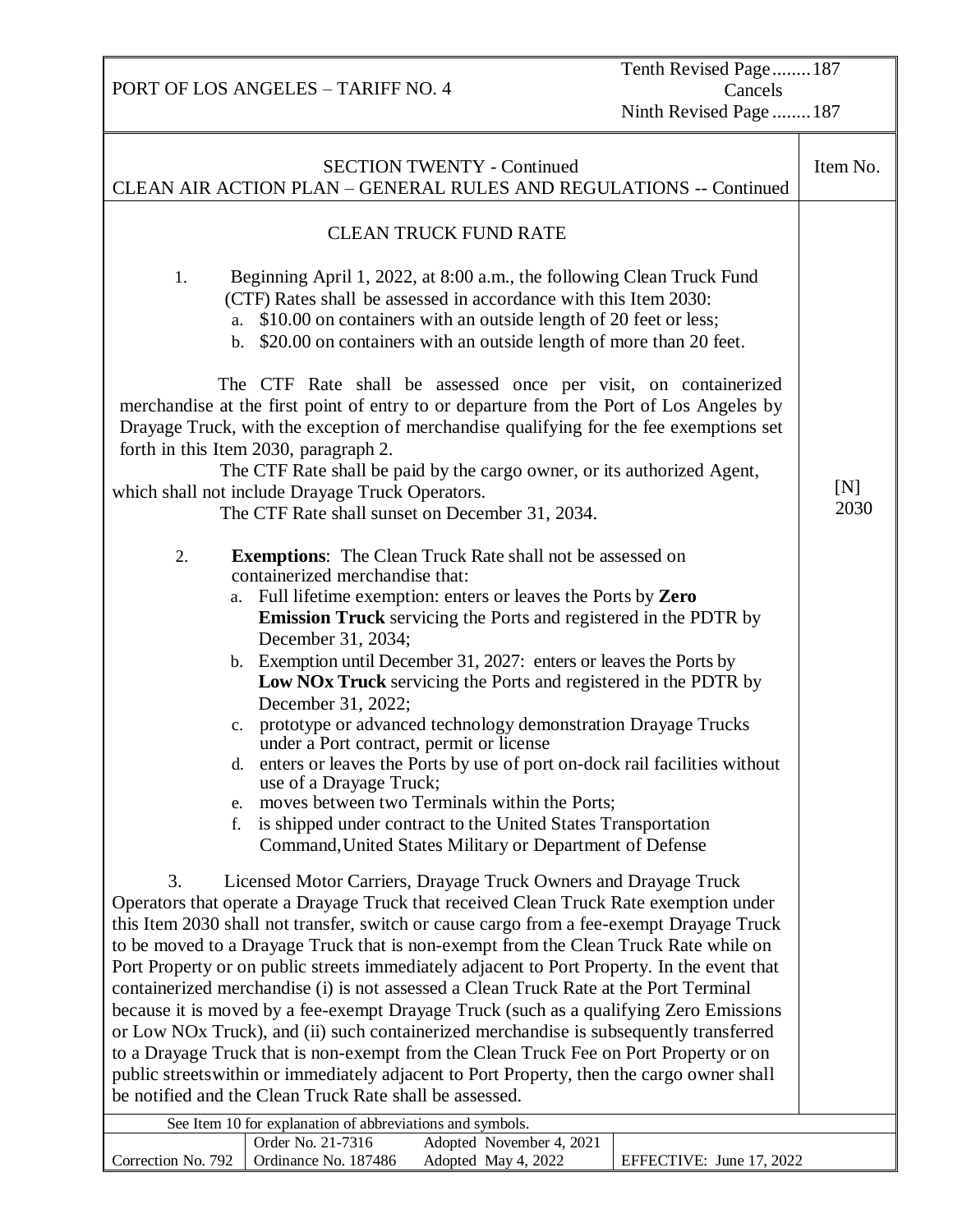Tenth Revised Page........187 Cancels Ninth Revised Page ........187

| <b>SECTION TWENTY - Continued</b><br>CLEAN AIR ACTION PLAN - GENERAL RULES AND REGULATIONS -- Continued                                                                                                                                                                                                                                                                                                                                                                                                                                                                                                                                                                                                                                                                                                                                                                                                                                                                          | Item No.    |  |  |  |  |
|----------------------------------------------------------------------------------------------------------------------------------------------------------------------------------------------------------------------------------------------------------------------------------------------------------------------------------------------------------------------------------------------------------------------------------------------------------------------------------------------------------------------------------------------------------------------------------------------------------------------------------------------------------------------------------------------------------------------------------------------------------------------------------------------------------------------------------------------------------------------------------------------------------------------------------------------------------------------------------|-------------|--|--|--|--|
| <b>CLEAN TRUCK FUND RATE</b>                                                                                                                                                                                                                                                                                                                                                                                                                                                                                                                                                                                                                                                                                                                                                                                                                                                                                                                                                     |             |  |  |  |  |
|                                                                                                                                                                                                                                                                                                                                                                                                                                                                                                                                                                                                                                                                                                                                                                                                                                                                                                                                                                                  |             |  |  |  |  |
| Beginning April 1, 2022, at 8:00 a.m., the following Clean Truck Fund<br>1.<br>(CTF) Rates shall be assessed in accordance with this Item 2030:<br>\$10.00 on containers with an outside length of 20 feet or less;<br>a.<br>\$20.00 on containers with an outside length of more than 20 feet.<br>b.                                                                                                                                                                                                                                                                                                                                                                                                                                                                                                                                                                                                                                                                            |             |  |  |  |  |
| The CTF Rate shall be assessed once per visit, on containerized<br>merchandise at the first point of entry to or departure from the Port of Los Angeles by<br>Drayage Truck, with the exception of merchandise qualifying for the fee exemptions set<br>forth in this Item 2030, paragraph 2.<br>The CTF Rate shall be paid by the cargo owner, or its authorized Agent,                                                                                                                                                                                                                                                                                                                                                                                                                                                                                                                                                                                                         |             |  |  |  |  |
| which shall not include Drayage Truck Operators.<br>The CTF Rate shall sunset on December 31, 2034.                                                                                                                                                                                                                                                                                                                                                                                                                                                                                                                                                                                                                                                                                                                                                                                                                                                                              | [N]<br>2030 |  |  |  |  |
|                                                                                                                                                                                                                                                                                                                                                                                                                                                                                                                                                                                                                                                                                                                                                                                                                                                                                                                                                                                  |             |  |  |  |  |
| <b>Exemptions:</b> The Clean Truck Rate shall not be assessed on<br>2.<br>containerized merchandise that:<br>Full lifetime exemption: enters or leaves the Ports by Zero<br>a.<br>Emission Truck servicing the Ports and registered in the PDTR by<br>December 31, 2034;<br>b. Exemption until December 31, 2027: enters or leaves the Ports by<br>Low NOx Truck servicing the Ports and registered in the PDTR by<br>December 31, 2022;<br>c. prototype or advanced technology demonstration Drayage Trucks<br>under a Port contract, permit or license<br>enters or leaves the Ports by use of port on-dock rail facilities without<br>d.<br>use of a Drayage Truck;<br>moves between two Terminals within the Ports;<br>e.<br>is shipped under contract to the United States Transportation<br>f.<br>Command, United States Military or Department of Defense                                                                                                                 |             |  |  |  |  |
| 3.<br>Licensed Motor Carriers, Drayage Truck Owners and Drayage Truck<br>Operators that operate a Drayage Truck that received Clean Truck Rate exemption under<br>this Item 2030 shall not transfer, switch or cause cargo from a fee-exempt Drayage Truck<br>to be moved to a Drayage Truck that is non-exempt from the Clean Truck Rate while on<br>Port Property or on public streets immediately adjacent to Port Property. In the event that<br>containerized merchandise (i) is not assessed a Clean Truck Rate at the Port Terminal<br>because it is moved by a fee-exempt Drayage Truck (such as a qualifying Zero Emissions<br>or Low NOx Truck), and (ii) such containerized merchandise is subsequently transferred<br>to a Drayage Truck that is non-exempt from the Clean Truck Fee on Port Property or on<br>public streets within or immediately adjacent to Port Property, then the cargo owner shall<br>be notified and the Clean Truck Rate shall be assessed. |             |  |  |  |  |
| See Item 10 for explanation of abbreviations and symbols.                                                                                                                                                                                                                                                                                                                                                                                                                                                                                                                                                                                                                                                                                                                                                                                                                                                                                                                        |             |  |  |  |  |
| Order No. 21-7316<br>Adopted November 4, 2021                                                                                                                                                                                                                                                                                                                                                                                                                                                                                                                                                                                                                                                                                                                                                                                                                                                                                                                                    |             |  |  |  |  |
| Correction No. 792<br>Ordinance No. 187486<br>Adopted May 4, 2022<br>EFFECTIVE: June 17, 2022                                                                                                                                                                                                                                                                                                                                                                                                                                                                                                                                                                                                                                                                                                                                                                                                                                                                                    |             |  |  |  |  |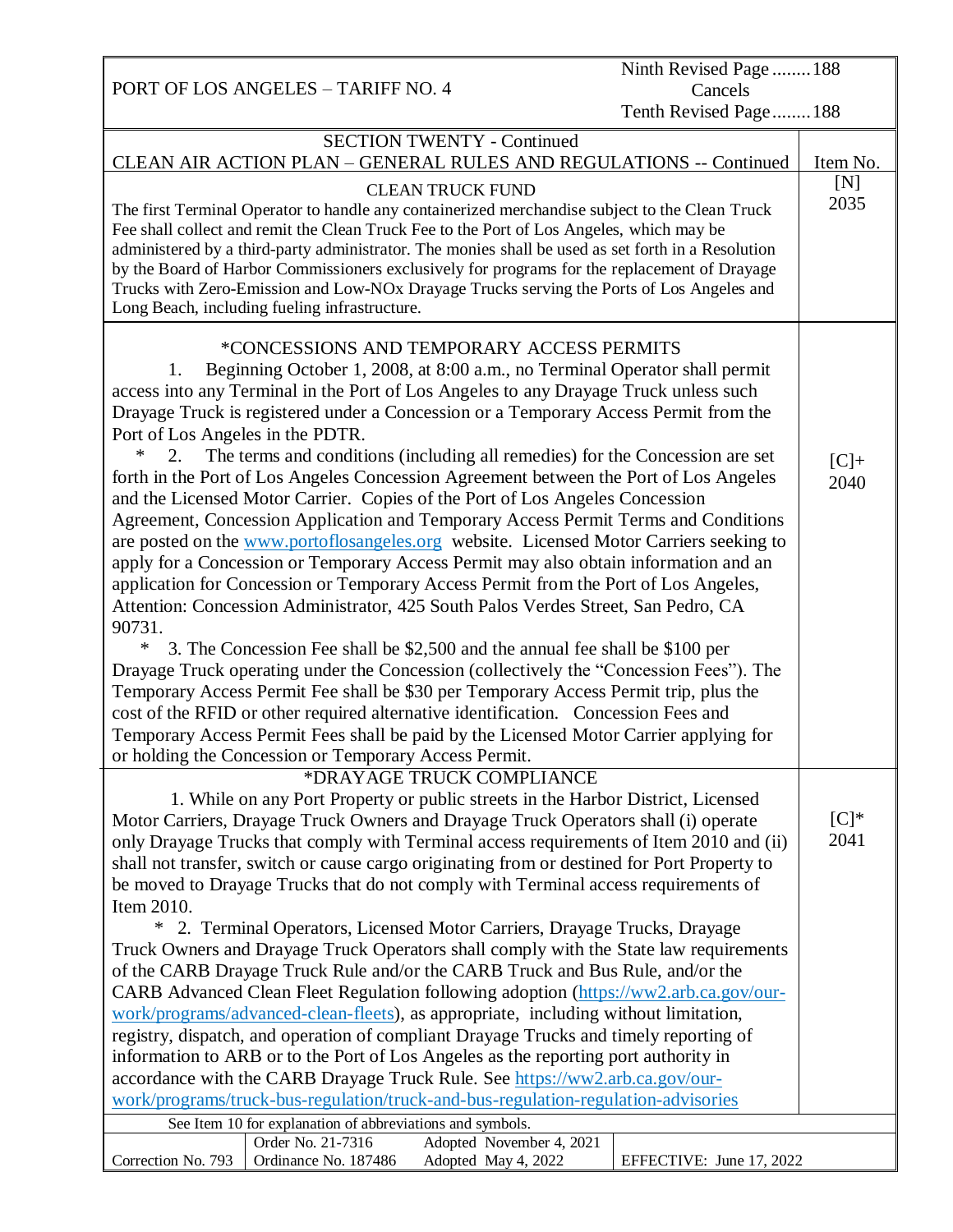PORT OF LOS ANGELES – TARIFF NO. 4 Ninth Revised Page ........188 Cancels Tenth Revised Page........188 SECTION TWENTY - Continued CLEAN AIR ACTION PLAN – GENERAL RULES AND REGULATIONS -- Continued | Item No. CLEAN TRUCK FUND The first Terminal Operator to handle any containerized merchandise subject to the Clean Truck Fee shall collect and remit the Clean Truck Fee to the Port of Los Angeles, which may be administered by a third-party administrator. The monies shall be used as set forth in a Resolution by the Board of Harbor Commissioners exclusively for programs for the replacement of Drayage Trucks with Zero-Emission and Low-NOx Drayage Trucks serving the Ports of Los Angeles and Long Beach, including fueling infrastructure. \*CONCESSIONS AND TEMPORARY ACCESS PERMITS 1. Beginning October 1, 2008, at 8:00 a.m., no Terminal Operator shall permit access into any Terminal in the Port of Los Angeles to any Drayage Truck unless such Drayage Truck is registered under a Concession or a Temporary Access Permit from the Port of Los Angeles in the PDTR. 2. The terms and conditions (including all remedies) for the Concession are set forth in the Port of Los Angeles Concession Agreement between the Port of Los Angeles and the Licensed Motor Carrier. Copies of the Port of Los Angeles Concession Agreement, Concession Application and Temporary Access Permit Terms and Conditions are posted on the [www.portoflosangeles.org](http://www.portoflosangeles.org/) website. Licensed Motor Carriers seeking to apply for a Concession or Temporary Access Permit may also obtain information and an application for Concession or Temporary Access Permit from the Port of Los Angeles, Attention: Concession Administrator, 425 South Palos Verdes Street, San Pedro, CA 90731. \* 3. The Concession Fee shall be \$2,500 and the annual fee shall be \$100 per Drayage Truck operating under the Concession (collectively the "Concession Fees"). The Temporary Access Permit Fee shall be \$30 per Temporary Access Permit trip, plus the cost of the RFID or other required alternative identification. Concession Fees and Temporary Access Permit Fees shall be paid by the Licensed Motor Carrier applying for or holding the Concession or Temporary Access Permit. \*DRAYAGE TRUCK COMPLIANCE 1. While on any Port Property or public streets in the Harbor District, Licensed Motor Carriers, Drayage Truck Owners and Drayage Truck Operators shall (i) operate only Drayage Trucks that comply with Terminal access requirements of Item 2010 and (ii) shall not transfer, switch or cause cargo originating from or destined for Port Property to be moved to Drayage Trucks that do not comply with Terminal access requirements of Item 2010. \* 2. Terminal Operators, Licensed Motor Carriers, Drayage Trucks, Drayage Truck Owners and Drayage Truck Operators shall comply with the State law requirements of the CARB Drayage Truck Rule and/or the CARB Truck and Bus Rule, and/or the CARB Advanced Clean Fleet Regulation following adoption [\(https://ww2.arb.ca.gov/our](https://ww2.arb.ca.gov/our-work/programs/advanced-clean-fleets)[work/programs/advanced-clean-fleets\)](https://ww2.arb.ca.gov/our-work/programs/advanced-clean-fleets), as appropriate, including without limitation, registry, dispatch, and operation of compliant Drayage Trucks and timely reporting of information to ARB or to the Port of Los Angeles as the reporting port authority in accordance with the CARB Drayage Truck Rule. See [https://ww2.arb.ca.gov/our](https://ww2.arb.ca.gov/our-work/programs/truck-bus-regulation/truck-and-bus-regulation-regulation-advisories)[work/programs/truck-bus-regulation/truck-and-bus-regulation-regulation-advisories](https://ww2.arb.ca.gov/our-work/programs/truck-bus-regulation/truck-and-bus-regulation-regulation-advisories)  $[N]$ 2035  $[C]+$ 2040  $[C]$ <sup>\*</sup> 2041 See Item 10 for explanation of abbreviations and symbols. Correction No. 793 Order No. 21-7316 Adopted November 4, 2021 Ordinance No. 187486 Adopted May 4, 2022 EFFECTIVE: June 17, 2022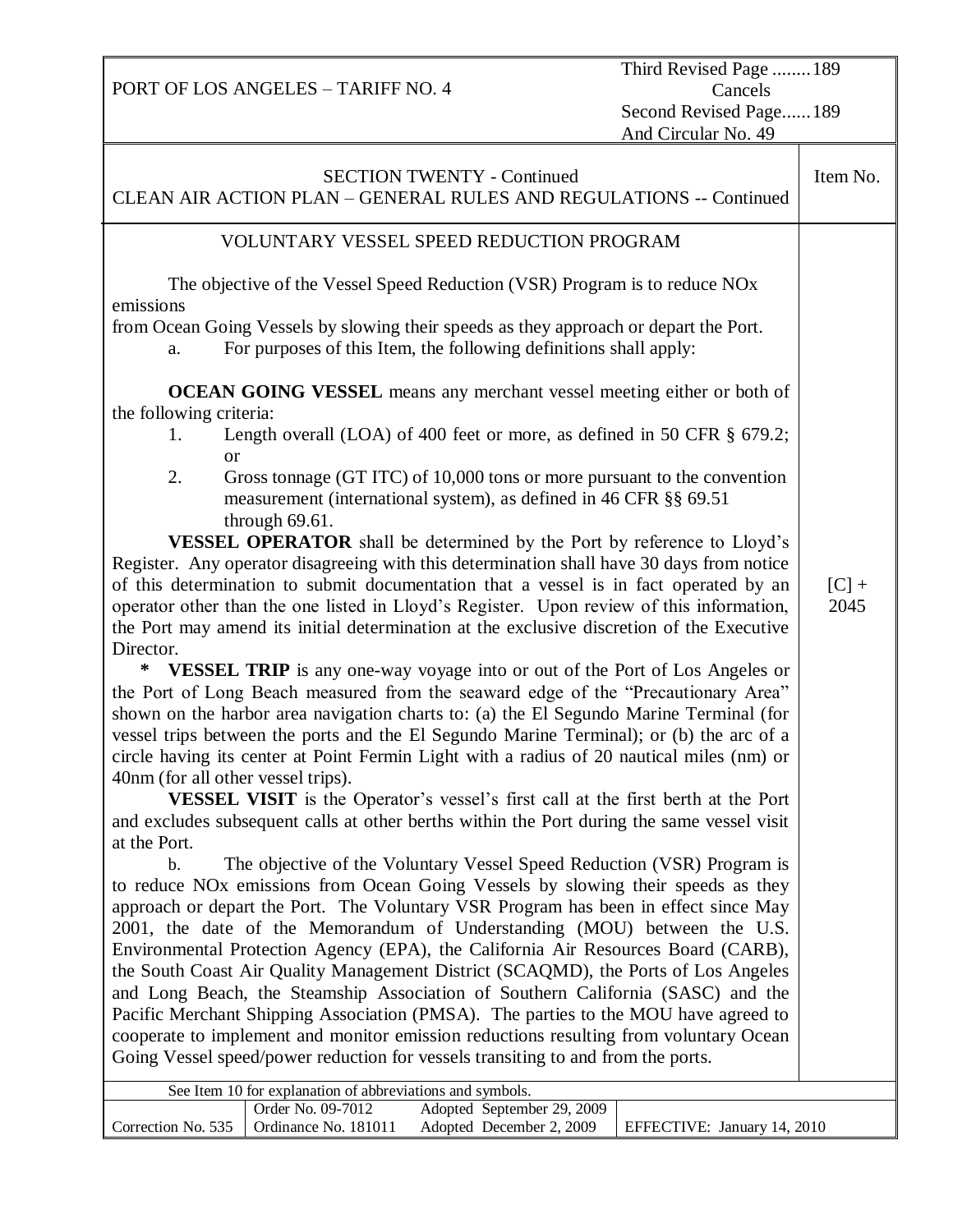Third Revised Page ........189 Cancels Second Revised Page......189 And Circular No. 49

|                                                                                                                                                                  | <b>SECTION TWENTY - Continued</b><br>CLEAN AIR ACTION PLAN - GENERAL RULES AND REGULATIONS -- Continued                                                                            | Item No. |  |  |  |  |  |
|------------------------------------------------------------------------------------------------------------------------------------------------------------------|------------------------------------------------------------------------------------------------------------------------------------------------------------------------------------|----------|--|--|--|--|--|
|                                                                                                                                                                  | VOLUNTARY VESSEL SPEED REDUCTION PROGRAM                                                                                                                                           |          |  |  |  |  |  |
| The objective of the Vessel Speed Reduction (VSR) Program is to reduce NO <sub>x</sub><br>emissions                                                              |                                                                                                                                                                                    |          |  |  |  |  |  |
| from Ocean Going Vessels by slowing their speeds as they approach or depart the Port.<br>For purposes of this Item, the following definitions shall apply:<br>a. |                                                                                                                                                                                    |          |  |  |  |  |  |
| the following criteria:                                                                                                                                          | <b>OCEAN GOING VESSEL</b> means any merchant vessel meeting either or both of                                                                                                      |          |  |  |  |  |  |
| 1.<br><sub>or</sub>                                                                                                                                              | Length overall (LOA) of 400 feet or more, as defined in 50 CFR § 679.2;                                                                                                            |          |  |  |  |  |  |
| 2.                                                                                                                                                               | Gross tonnage (GT ITC) of 10,000 tons or more pursuant to the convention<br>measurement (international system), as defined in 46 CFR §§ 69.51                                      |          |  |  |  |  |  |
|                                                                                                                                                                  | through 69.61.<br><b>VESSEL OPERATOR</b> shall be determined by the Port by reference to Lloyd's                                                                                   |          |  |  |  |  |  |
|                                                                                                                                                                  | Register. Any operator disagreeing with this determination shall have 30 days from notice<br>of this determination to submit documentation that a vessel is in fact operated by an | $[C]$ +  |  |  |  |  |  |
|                                                                                                                                                                  | operator other than the one listed in Lloyd's Register. Upon review of this information,                                                                                           | 2045     |  |  |  |  |  |
| the Port may amend its initial determination at the exclusive discretion of the Executive                                                                        |                                                                                                                                                                                    |          |  |  |  |  |  |
| Director.<br>∗                                                                                                                                                   | <b>VESSEL TRIP</b> is any one-way voyage into or out of the Port of Los Angeles or                                                                                                 |          |  |  |  |  |  |
|                                                                                                                                                                  | the Port of Long Beach measured from the seaward edge of the "Precautionary Area"                                                                                                  |          |  |  |  |  |  |
|                                                                                                                                                                  | shown on the harbor area navigation charts to: (a) the El Segundo Marine Terminal (for                                                                                             |          |  |  |  |  |  |
|                                                                                                                                                                  | vessel trips between the ports and the El Segundo Marine Terminal); or (b) the arc of a                                                                                            |          |  |  |  |  |  |
|                                                                                                                                                                  | circle having its center at Point Fermin Light with a radius of 20 nautical miles (nm) or                                                                                          |          |  |  |  |  |  |
| 40nm (for all other vessel trips).                                                                                                                               | <b>VESSEL VISIT</b> is the Operator's vessel's first call at the first berth at the Port                                                                                           |          |  |  |  |  |  |
|                                                                                                                                                                  | and excludes subsequent calls at other berths within the Port during the same vessel visit                                                                                         |          |  |  |  |  |  |
| at the Port.                                                                                                                                                     |                                                                                                                                                                                    |          |  |  |  |  |  |
| $\mathbf b$ .                                                                                                                                                    | The objective of the Voluntary Vessel Speed Reduction (VSR) Program is                                                                                                             |          |  |  |  |  |  |
|                                                                                                                                                                  | to reduce NO <sub>x</sub> emissions from Ocean Going Vessels by slowing their speeds as they                                                                                       |          |  |  |  |  |  |
|                                                                                                                                                                  | approach or depart the Port. The Voluntary VSR Program has been in effect since May                                                                                                |          |  |  |  |  |  |
|                                                                                                                                                                  | 2001, the date of the Memorandum of Understanding (MOU) between the U.S.                                                                                                           |          |  |  |  |  |  |
|                                                                                                                                                                  | Environmental Protection Agency (EPA), the California Air Resources Board (CARB),<br>the South Coast Air Quality Management District (SCAQMD), the Ports of Los Angeles            |          |  |  |  |  |  |
|                                                                                                                                                                  | and Long Beach, the Steamship Association of Southern California (SASC) and the                                                                                                    |          |  |  |  |  |  |
|                                                                                                                                                                  | Pacific Merchant Shipping Association (PMSA). The parties to the MOU have agreed to                                                                                                |          |  |  |  |  |  |
|                                                                                                                                                                  | cooperate to implement and monitor emission reductions resulting from voluntary Ocean<br>Going Vessel speed/power reduction for vessels transiting to and from the ports.          |          |  |  |  |  |  |
|                                                                                                                                                                  | See Item 10 for explanation of abbreviations and symbols.                                                                                                                          |          |  |  |  |  |  |
| Correction No. 535                                                                                                                                               | Adopted September 29, 2009<br>Order No. 09-7012<br>Ordinance No. 181011<br>Adopted December 2, 2009<br>EFFECTIVE: January 14, 2010                                                 |          |  |  |  |  |  |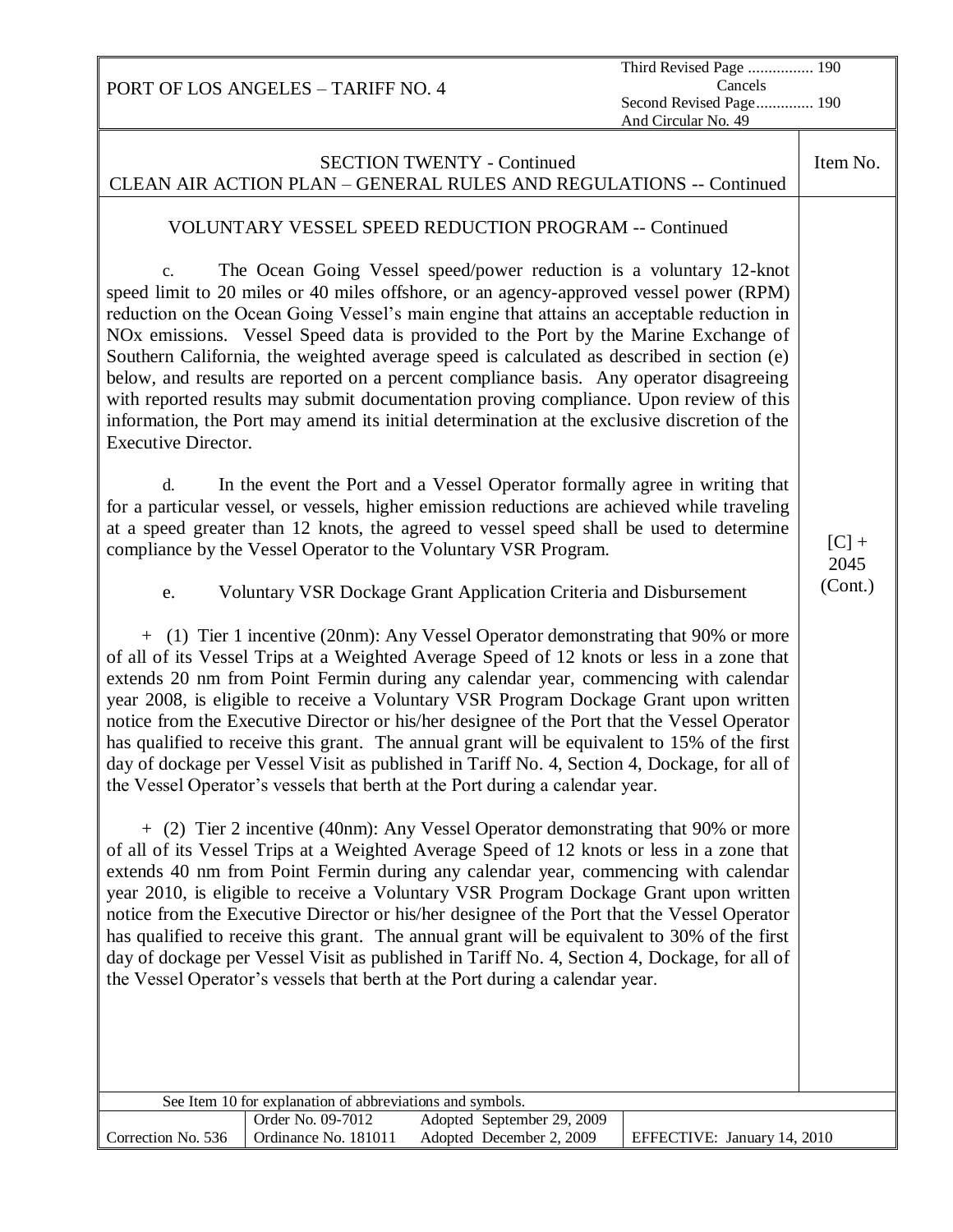| Third Revised Page  190<br>Cancels<br>PORT OF LOS ANGELES - TARIFF NO. 4<br>Second Revised Page 190<br>And Circular No. 49                                                                                                                                                                                                                                                                                                                                                                                                                                                                                                                                                                                                                                                                                                                                                                                                                                                                                                                                                                                                                                                                                                                                                                                                                                                                                                                                                                                                                                                                                                                                                                                                                                                                                                                                                                                                                                                                                                                                                                                                                                                                                                                                                                                                                                                                                                                                                                                                                                                                                                                                                                                                                                                                                                                                                             |                            |  |  |  |  |  |  |  |
|----------------------------------------------------------------------------------------------------------------------------------------------------------------------------------------------------------------------------------------------------------------------------------------------------------------------------------------------------------------------------------------------------------------------------------------------------------------------------------------------------------------------------------------------------------------------------------------------------------------------------------------------------------------------------------------------------------------------------------------------------------------------------------------------------------------------------------------------------------------------------------------------------------------------------------------------------------------------------------------------------------------------------------------------------------------------------------------------------------------------------------------------------------------------------------------------------------------------------------------------------------------------------------------------------------------------------------------------------------------------------------------------------------------------------------------------------------------------------------------------------------------------------------------------------------------------------------------------------------------------------------------------------------------------------------------------------------------------------------------------------------------------------------------------------------------------------------------------------------------------------------------------------------------------------------------------------------------------------------------------------------------------------------------------------------------------------------------------------------------------------------------------------------------------------------------------------------------------------------------------------------------------------------------------------------------------------------------------------------------------------------------------------------------------------------------------------------------------------------------------------------------------------------------------------------------------------------------------------------------------------------------------------------------------------------------------------------------------------------------------------------------------------------------------------------------------------------------------------------------------------------------|----------------------------|--|--|--|--|--|--|--|
| <b>SECTION TWENTY - Continued</b><br>CLEAN AIR ACTION PLAN - GENERAL RULES AND REGULATIONS -- Continued                                                                                                                                                                                                                                                                                                                                                                                                                                                                                                                                                                                                                                                                                                                                                                                                                                                                                                                                                                                                                                                                                                                                                                                                                                                                                                                                                                                                                                                                                                                                                                                                                                                                                                                                                                                                                                                                                                                                                                                                                                                                                                                                                                                                                                                                                                                                                                                                                                                                                                                                                                                                                                                                                                                                                                                |                            |  |  |  |  |  |  |  |
| VOLUNTARY VESSEL SPEED REDUCTION PROGRAM -- Continued<br>The Ocean Going Vessel speed/power reduction is a voluntary 12-knot<br>c.<br>speed limit to 20 miles or 40 miles offshore, or an agency-approved vessel power (RPM)<br>reduction on the Ocean Going Vessel's main engine that attains an acceptable reduction in<br>NO <sub>x</sub> emissions. Vessel Speed data is provided to the Port by the Marine Exchange of<br>Southern California, the weighted average speed is calculated as described in section (e)<br>below, and results are reported on a percent compliance basis. Any operator disagreeing<br>with reported results may submit documentation proving compliance. Upon review of this<br>information, the Port may amend its initial determination at the exclusive discretion of the<br><b>Executive Director.</b><br>In the event the Port and a Vessel Operator formally agree in writing that<br>d.<br>for a particular vessel, or vessels, higher emission reductions are achieved while traveling<br>at a speed greater than 12 knots, the agreed to vessel speed shall be used to determine<br>compliance by the Vessel Operator to the Voluntary VSR Program.<br>Voluntary VSR Dockage Grant Application Criteria and Disbursement<br>e.<br>+ (1) Tier 1 incentive (20nm): Any Vessel Operator demonstrating that 90% or more<br>of all of its Vessel Trips at a Weighted Average Speed of 12 knots or less in a zone that<br>extends 20 nm from Point Fermin during any calendar year, commencing with calendar<br>year 2008, is eligible to receive a Voluntary VSR Program Dockage Grant upon written<br>notice from the Executive Director or his/her designee of the Port that the Vessel Operator<br>has qualified to receive this grant. The annual grant will be equivalent to 15% of the first<br>day of dockage per Vessel Visit as published in Tariff No. 4, Section 4, Dockage, for all of<br>the Vessel Operator's vessels that berth at the Port during a calendar year.<br>+ (2) Tier 2 incentive (40nm): Any Vessel Operator demonstrating that 90% or more<br>of all of its Vessel Trips at a Weighted Average Speed of 12 knots or less in a zone that<br>extends 40 nm from Point Fermin during any calendar year, commencing with calendar<br>year 2010, is eligible to receive a Voluntary VSR Program Dockage Grant upon written<br>notice from the Executive Director or his/her designee of the Port that the Vessel Operator<br>has qualified to receive this grant. The annual grant will be equivalent to 30% of the first<br>day of dockage per Vessel Visit as published in Tariff No. 4, Section 4, Dockage, for all of<br>the Vessel Operator's vessels that berth at the Port during a calendar year.<br>See Item 10 for explanation of abbreviations and symbols.<br>Order No. 09-7012<br>Adopted September 29, 2009 | $[C]$ +<br>2045<br>(Cont.) |  |  |  |  |  |  |  |
| Ordinance No. 181011<br>Correction No. 536<br>Adopted December 2, 2009<br>EFFECTIVE: January 14, 2010                                                                                                                                                                                                                                                                                                                                                                                                                                                                                                                                                                                                                                                                                                                                                                                                                                                                                                                                                                                                                                                                                                                                                                                                                                                                                                                                                                                                                                                                                                                                                                                                                                                                                                                                                                                                                                                                                                                                                                                                                                                                                                                                                                                                                                                                                                                                                                                                                                                                                                                                                                                                                                                                                                                                                                                  |                            |  |  |  |  |  |  |  |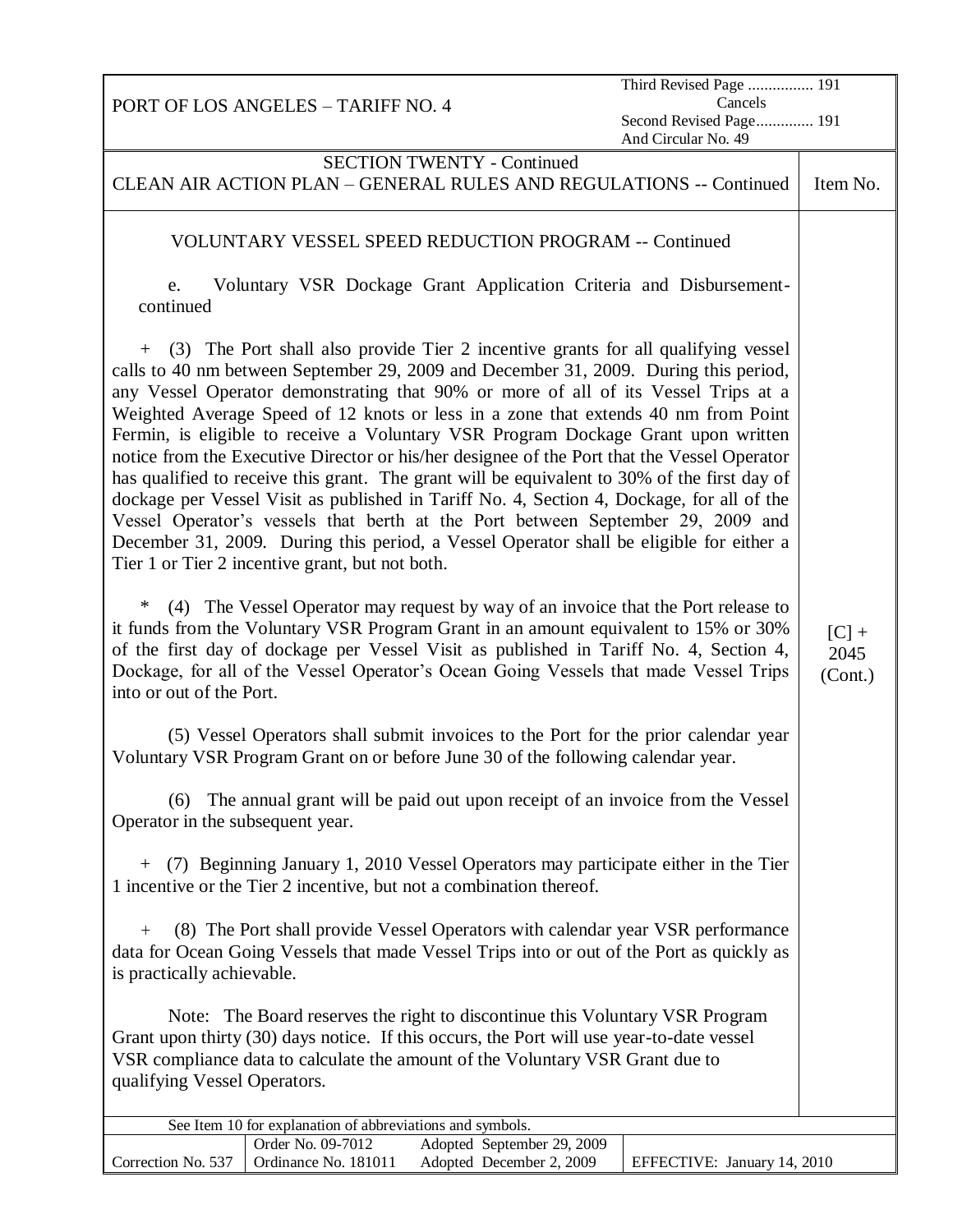|                                                                                                                                                                                                                                                                                                                                                                                            | PORT OF LOS ANGELES - TARIFF NO. 4                        |                                                                                                                                                                                                                                                                                                                                                                                                                                                                                                                                                                                                                                                                                                                                                                                                                                                                                                                      | Third Revised Page  191                        | Cancels |                            |
|--------------------------------------------------------------------------------------------------------------------------------------------------------------------------------------------------------------------------------------------------------------------------------------------------------------------------------------------------------------------------------------------|-----------------------------------------------------------|----------------------------------------------------------------------------------------------------------------------------------------------------------------------------------------------------------------------------------------------------------------------------------------------------------------------------------------------------------------------------------------------------------------------------------------------------------------------------------------------------------------------------------------------------------------------------------------------------------------------------------------------------------------------------------------------------------------------------------------------------------------------------------------------------------------------------------------------------------------------------------------------------------------------|------------------------------------------------|---------|----------------------------|
|                                                                                                                                                                                                                                                                                                                                                                                            |                                                           |                                                                                                                                                                                                                                                                                                                                                                                                                                                                                                                                                                                                                                                                                                                                                                                                                                                                                                                      | Second Revised Page 191<br>And Circular No. 49 |         |                            |
|                                                                                                                                                                                                                                                                                                                                                                                            |                                                           | <b>SECTION TWENTY - Continued</b>                                                                                                                                                                                                                                                                                                                                                                                                                                                                                                                                                                                                                                                                                                                                                                                                                                                                                    |                                                |         |                            |
|                                                                                                                                                                                                                                                                                                                                                                                            |                                                           | CLEAN AIR ACTION PLAN - GENERAL RULES AND REGULATIONS -- Continued                                                                                                                                                                                                                                                                                                                                                                                                                                                                                                                                                                                                                                                                                                                                                                                                                                                   |                                                |         | Item No.                   |
|                                                                                                                                                                                                                                                                                                                                                                                            |                                                           | VOLUNTARY VESSEL SPEED REDUCTION PROGRAM -- Continued                                                                                                                                                                                                                                                                                                                                                                                                                                                                                                                                                                                                                                                                                                                                                                                                                                                                |                                                |         |                            |
| e.<br>continued                                                                                                                                                                                                                                                                                                                                                                            |                                                           | Voluntary VSR Dockage Grant Application Criteria and Disbursement-                                                                                                                                                                                                                                                                                                                                                                                                                                                                                                                                                                                                                                                                                                                                                                                                                                                   |                                                |         |                            |
| $+$                                                                                                                                                                                                                                                                                                                                                                                        | Tier 1 or Tier 2 incentive grant, but not both.           | (3) The Port shall also provide Tier 2 incentive grants for all qualifying vessel<br>calls to 40 nm between September 29, 2009 and December 31, 2009. During this period,<br>any Vessel Operator demonstrating that 90% or more of all of its Vessel Trips at a<br>Weighted Average Speed of 12 knots or less in a zone that extends 40 nm from Point<br>Fermin, is eligible to receive a Voluntary VSR Program Dockage Grant upon written<br>notice from the Executive Director or his/her designee of the Port that the Vessel Operator<br>has qualified to receive this grant. The grant will be equivalent to 30% of the first day of<br>dockage per Vessel Visit as published in Tariff No. 4, Section 4, Dockage, for all of the<br>Vessel Operator's vessels that berth at the Port between September 29, 2009 and<br>December 31, 2009. During this period, a Vessel Operator shall be eligible for either a |                                                |         |                            |
| ∗<br>(4) The Vessel Operator may request by way of an invoice that the Port release to<br>it funds from the Voluntary VSR Program Grant in an amount equivalent to 15% or 30%<br>of the first day of dockage per Vessel Visit as published in Tariff No. 4, Section 4,<br>Dockage, for all of the Vessel Operator's Ocean Going Vessels that made Vessel Trips<br>into or out of the Port. |                                                           |                                                                                                                                                                                                                                                                                                                                                                                                                                                                                                                                                                                                                                                                                                                                                                                                                                                                                                                      |                                                |         | $[C]$ +<br>2045<br>(Cont.) |
|                                                                                                                                                                                                                                                                                                                                                                                            |                                                           | (5) Vessel Operators shall submit invoices to the Port for the prior calendar year<br>Voluntary VSR Program Grant on or before June 30 of the following calendar year.                                                                                                                                                                                                                                                                                                                                                                                                                                                                                                                                                                                                                                                                                                                                               |                                                |         |                            |
| (6) The annual grant will be paid out upon receipt of an invoice from the Vessel<br>Operator in the subsequent year.                                                                                                                                                                                                                                                                       |                                                           |                                                                                                                                                                                                                                                                                                                                                                                                                                                                                                                                                                                                                                                                                                                                                                                                                                                                                                                      |                                                |         |                            |
| (7) Beginning January 1, 2010 Vessel Operators may participate either in the Tier<br>$+$<br>1 incentive or the Tier 2 incentive, but not a combination thereof.                                                                                                                                                                                                                            |                                                           |                                                                                                                                                                                                                                                                                                                                                                                                                                                                                                                                                                                                                                                                                                                                                                                                                                                                                                                      |                                                |         |                            |
| (8) The Port shall provide Vessel Operators with calendar year VSR performance<br>$^{+}$<br>data for Ocean Going Vessels that made Vessel Trips into or out of the Port as quickly as<br>is practically achievable.                                                                                                                                                                        |                                                           |                                                                                                                                                                                                                                                                                                                                                                                                                                                                                                                                                                                                                                                                                                                                                                                                                                                                                                                      |                                                |         |                            |
| Note: The Board reserves the right to discontinue this Voluntary VSR Program<br>Grant upon thirty (30) days notice. If this occurs, the Port will use year-to-date vessel<br>VSR compliance data to calculate the amount of the Voluntary VSR Grant due to<br>qualifying Vessel Operators.                                                                                                 |                                                           |                                                                                                                                                                                                                                                                                                                                                                                                                                                                                                                                                                                                                                                                                                                                                                                                                                                                                                                      |                                                |         |                            |
|                                                                                                                                                                                                                                                                                                                                                                                            | See Item 10 for explanation of abbreviations and symbols. |                                                                                                                                                                                                                                                                                                                                                                                                                                                                                                                                                                                                                                                                                                                                                                                                                                                                                                                      |                                                |         |                            |
| Correction No. 537                                                                                                                                                                                                                                                                                                                                                                         | Order No. 09-7012<br>Ordinance No. 181011                 | Adopted September 29, 2009<br>Adopted December 2, 2009                                                                                                                                                                                                                                                                                                                                                                                                                                                                                                                                                                                                                                                                                                                                                                                                                                                               | EFFECTIVE: January 14, 2010                    |         |                            |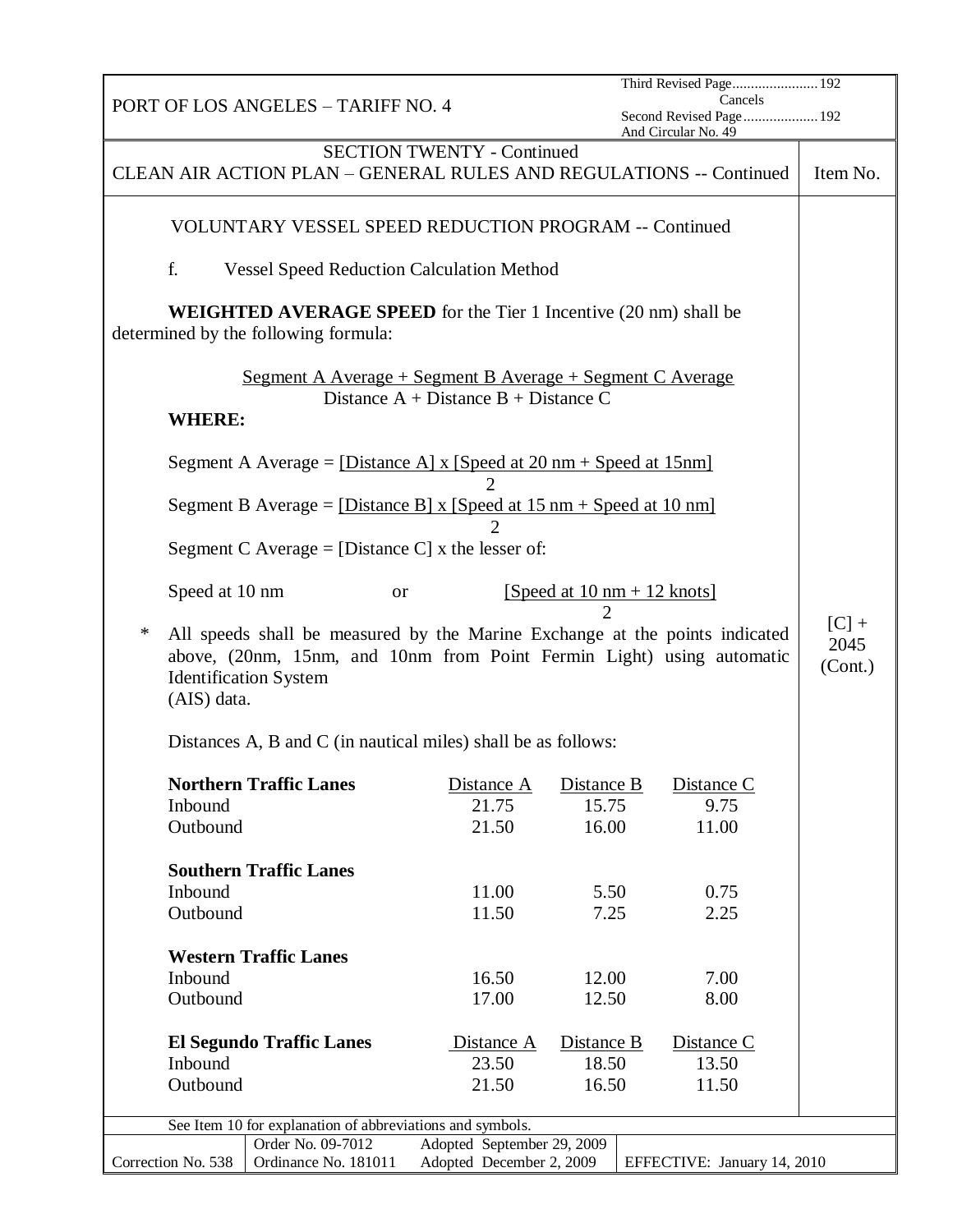|                                      | Cancels<br>PORT OF LOS ANGELES - TARIFF NO. 4<br>Second Revised Page 192<br>And Circular No. 49 |                      |                                                                                                             |                              |                                                                                                                                                      |                            |  |  |
|--------------------------------------|-------------------------------------------------------------------------------------------------|----------------------|-------------------------------------------------------------------------------------------------------------|------------------------------|------------------------------------------------------------------------------------------------------------------------------------------------------|----------------------------|--|--|
|                                      |                                                                                                 |                      | <b>SECTION TWENTY - Continued</b>                                                                           |                              | CLEAN AIR ACTION PLAN - GENERAL RULES AND REGULATIONS -- Continued                                                                                   | Item No.                   |  |  |
|                                      |                                                                                                 |                      | VOLUNTARY VESSEL SPEED REDUCTION PROGRAM -- Continued                                                       |                              |                                                                                                                                                      |                            |  |  |
| f.                                   | <b>Vessel Speed Reduction Calculation Method</b>                                                |                      |                                                                                                             |                              |                                                                                                                                                      |                            |  |  |
| determined by the following formula: |                                                                                                 |                      | <b>WEIGHTED AVERAGE SPEED</b> for the Tier 1 Incentive (20 nm) shall be                                     |                              |                                                                                                                                                      |                            |  |  |
| <b>WHERE:</b>                        |                                                                                                 |                      | <u> Segment A Average + Segment B Average + Segment C Average</u><br>Distance $A + Distance B + Distance C$ |                              |                                                                                                                                                      |                            |  |  |
|                                      |                                                                                                 |                      | Segment A Average = $[Distance A] \times [Speed at 20 nm + Speed at 15 nm]$                                 |                              |                                                                                                                                                      |                            |  |  |
|                                      |                                                                                                 |                      | Segment B Average = $[Distance B] x [Speed at 15 nm + Speed at 10 nm]$                                      |                              |                                                                                                                                                      |                            |  |  |
|                                      |                                                                                                 |                      | Segment C Average = [Distance C] x the lesser of:                                                           |                              |                                                                                                                                                      |                            |  |  |
| Speed at 10 nm                       |                                                                                                 | <b>or</b>            |                                                                                                             | $\mathcal{D}_{\mathcal{A}}$  | [Speed at $10 \text{ nm} + 12 \text{ knots}$ ]                                                                                                       |                            |  |  |
| ∗<br>(AIS) data.                     | <b>Identification System</b>                                                                    |                      |                                                                                                             |                              | All speeds shall be measured by the Marine Exchange at the points indicated<br>above, (20nm, 15nm, and 10nm from Point Fermin Light) using automatic | $[C]$ +<br>2045<br>(Cont.) |  |  |
|                                      |                                                                                                 |                      | Distances A, B and C (in nautical miles) shall be as follows:                                               |                              |                                                                                                                                                      |                            |  |  |
| Inbound<br>Outbound                  | <b>Northern Traffic Lanes</b>                                                                   |                      | Distance A<br>21.75<br>21.50                                                                                | Distance B<br>15.75<br>16.00 | Distance C<br>9.75<br>11.00                                                                                                                          |                            |  |  |
|                                      | <b>Southern Traffic Lanes</b>                                                                   |                      |                                                                                                             |                              |                                                                                                                                                      |                            |  |  |
| Inbound                              |                                                                                                 |                      | 11.00                                                                                                       | 5.50                         | 0.75                                                                                                                                                 |                            |  |  |
| Outbound                             |                                                                                                 |                      | 11.50                                                                                                       | 7.25                         | 2.25                                                                                                                                                 |                            |  |  |
|                                      | <b>Western Traffic Lanes</b>                                                                    |                      |                                                                                                             |                              |                                                                                                                                                      |                            |  |  |
| Inbound                              |                                                                                                 |                      | 16.50                                                                                                       | 12.00                        | 7.00                                                                                                                                                 |                            |  |  |
| Outbound                             |                                                                                                 |                      | 17.00                                                                                                       | 12.50                        | 8.00                                                                                                                                                 |                            |  |  |
|                                      | <b>El Segundo Traffic Lanes</b>                                                                 |                      | Distance A                                                                                                  | Distance B                   | Distance C                                                                                                                                           |                            |  |  |
| Inbound                              |                                                                                                 |                      | 23.50                                                                                                       | 18.50                        | 13.50                                                                                                                                                |                            |  |  |
| Outbound                             |                                                                                                 |                      | 21.50                                                                                                       | 16.50                        | 11.50                                                                                                                                                |                            |  |  |
|                                      |                                                                                                 |                      | See Item 10 for explanation of abbreviations and symbols.                                                   |                              |                                                                                                                                                      |                            |  |  |
|                                      | Order No. 09-7012                                                                               |                      | Adopted September 29, 2009                                                                                  |                              |                                                                                                                                                      |                            |  |  |
| Correction No. 538                   |                                                                                                 | Ordinance No. 181011 | Adopted December 2, 2009                                                                                    |                              | EFFECTIVE: January 14, 2010                                                                                                                          |                            |  |  |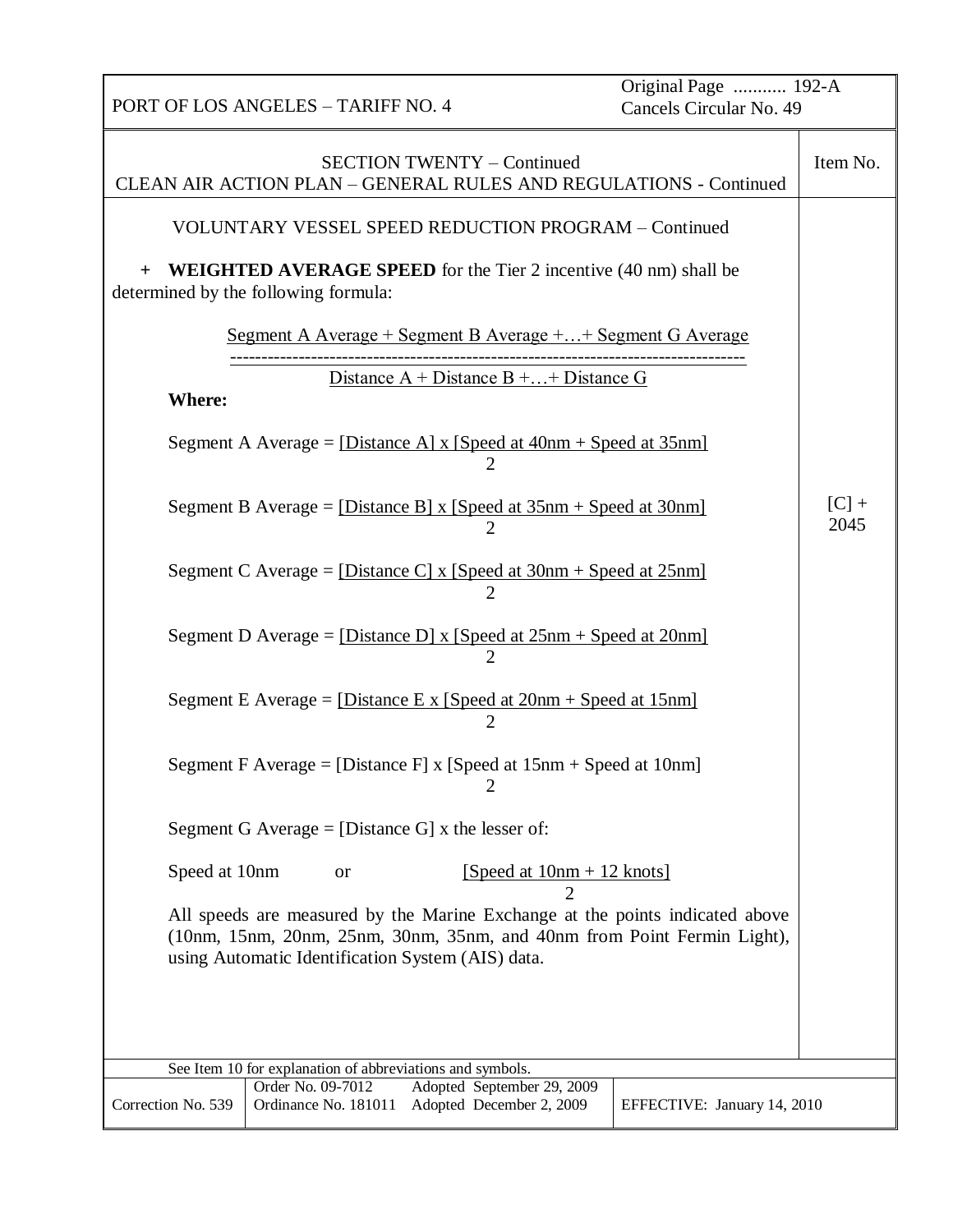| Original Page  192-A<br>PORT OF LOS ANGELES - TARIFF NO. 4<br>Cancels Circular No. 49                                                                                                                        |                 |  |  |  |  |  |
|--------------------------------------------------------------------------------------------------------------------------------------------------------------------------------------------------------------|-----------------|--|--|--|--|--|
| <b>SECTION TWENTY - Continued</b><br>CLEAN AIR ACTION PLAN - GENERAL RULES AND REGULATIONS - Continued                                                                                                       |                 |  |  |  |  |  |
| VOLUNTARY VESSEL SPEED REDUCTION PROGRAM - Continued                                                                                                                                                         |                 |  |  |  |  |  |
| <b>WEIGHTED AVERAGE SPEED</b> for the Tier 2 incentive (40 nm) shall be<br>determined by the following formula:                                                                                              |                 |  |  |  |  |  |
| <u> Segment A Average + Segment B Average + + Segment G Average</u>                                                                                                                                          |                 |  |  |  |  |  |
| Distance $A + D$ istance $B +  + D$ istance G<br><b>Where:</b>                                                                                                                                               |                 |  |  |  |  |  |
| Segment A Average = [Distance A] x [Speed at $40nm + Speed$ at $35nm$ ]<br>2                                                                                                                                 |                 |  |  |  |  |  |
| Segment B Average = $[Distance B] \times [Speed at 35nm + Speed at 30nm]$                                                                                                                                    | $[C]$ +<br>2045 |  |  |  |  |  |
| Segment C Average = $[Distance C] \times [Speed at 30nm + Speed at 25nm]$                                                                                                                                    |                 |  |  |  |  |  |
| Segment D Average = $[Distance D] \times [Speed at 25nm + Speed at 20nm]$<br>$\overline{2}$                                                                                                                  |                 |  |  |  |  |  |
| Segment E Average = $[Distance E x [Speed at 20nm + Speed at 15nm]$<br>2                                                                                                                                     |                 |  |  |  |  |  |
| Segment F Average = [Distance F] x [Speed at $15nm + Speed$ at $10nm$ ]<br>$\overline{2}$                                                                                                                    |                 |  |  |  |  |  |
| Segment G Average = [Distance G] x the lesser of:                                                                                                                                                            |                 |  |  |  |  |  |
| Speed at 10nm<br>[Speed at $10nm + 12$ knots]<br><b>or</b>                                                                                                                                                   |                 |  |  |  |  |  |
| All speeds are measured by the Marine Exchange at the points indicated above<br>(10nm, 15nm, 20nm, 25nm, 30nm, 35nm, and 40nm from Point Fermin Light),<br>using Automatic Identification System (AIS) data. |                 |  |  |  |  |  |
|                                                                                                                                                                                                              |                 |  |  |  |  |  |
| See Item 10 for explanation of abbreviations and symbols.                                                                                                                                                    |                 |  |  |  |  |  |
| Order No. 09-7012<br>Adopted September 29, 2009<br>Correction No. 539<br>Ordinance No. 181011<br>Adopted December 2, 2009<br>EFFECTIVE: January 14, 2010                                                     |                 |  |  |  |  |  |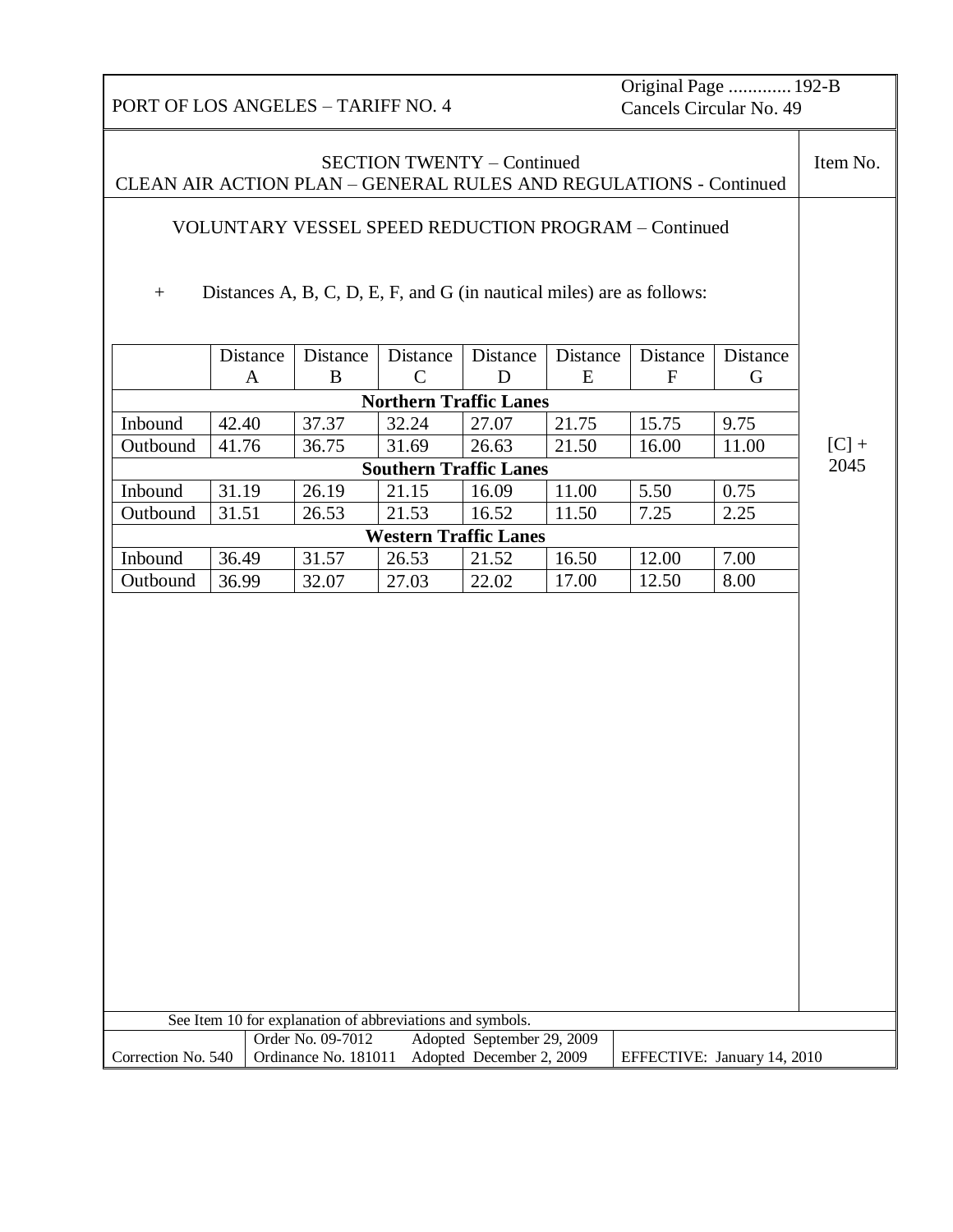Original Page ............. 192-B Cancels Circular No. 49

| <b>SECTION TWENTY – Continued</b><br>CLEAN AIR ACTION PLAN - GENERAL RULES AND REGULATIONS - Continued |          |                                                                       |              |                               |          |              | Item No.                    |         |
|--------------------------------------------------------------------------------------------------------|----------|-----------------------------------------------------------------------|--------------|-------------------------------|----------|--------------|-----------------------------|---------|
|                                                                                                        |          |                                                                       |              |                               |          |              |                             |         |
| VOLUNTARY VESSEL SPEED REDUCTION PROGRAM - Continued                                                   |          |                                                                       |              |                               |          |              |                             |         |
|                                                                                                        |          |                                                                       |              |                               |          |              |                             |         |
| $^{+}$                                                                                                 |          | Distances A, B, C, D, E, F, and G (in nautical miles) are as follows: |              |                               |          |              |                             |         |
|                                                                                                        |          |                                                                       |              |                               |          |              |                             |         |
|                                                                                                        | Distance | Distance                                                              | Distance     | Distance                      | Distance | Distance     | Distance                    |         |
|                                                                                                        | A        | B                                                                     | $\mathsf{C}$ | D                             | E        | $\mathbf{F}$ | G                           |         |
|                                                                                                        |          |                                                                       |              | <b>Northern Traffic Lanes</b> |          |              |                             |         |
| Inbound                                                                                                | 42.40    | 37.37                                                                 | 32.24        | 27.07                         | 21.75    | 15.75        | 9.75                        |         |
| Outbound                                                                                               | 41.76    | 36.75                                                                 | 31.69        | 26.63                         | 21.50    | 16.00        | 11.00                       | $[C]$ + |
|                                                                                                        |          |                                                                       |              | <b>Southern Traffic Lanes</b> |          |              |                             | 2045    |
| Inbound                                                                                                | 31.19    | 26.19                                                                 | 21.15        | 16.09                         | 11.00    | 5.50         | 0.75                        |         |
| Outbound                                                                                               | 31.51    | 26.53                                                                 | 21.53        | 16.52                         | 11.50    | 7.25         | 2.25                        |         |
|                                                                                                        |          |                                                                       |              | <b>Western Traffic Lanes</b>  |          |              |                             |         |
| Inbound                                                                                                | 36.49    | 31.57                                                                 | 26.53        | 21.52                         | 16.50    | 12.00        | 7.00                        |         |
| Outbound                                                                                               | 36.99    | 32.07                                                                 | 27.03        | 22.02                         | 17.00    | 12.50        | 8.00                        |         |
|                                                                                                        |          |                                                                       |              |                               |          |              |                             |         |
|                                                                                                        |          | See Item 10 for explanation of abbreviations and symbols.             |              |                               |          |              |                             |         |
|                                                                                                        |          | Order No. 09-7012                                                     |              | Adopted September 29, 2009    |          |              |                             |         |
| Correction No. 540                                                                                     |          | Ordinance No. 181011                                                  |              | Adopted December 2, 2009      |          |              | EFFECTIVE: January 14, 2010 |         |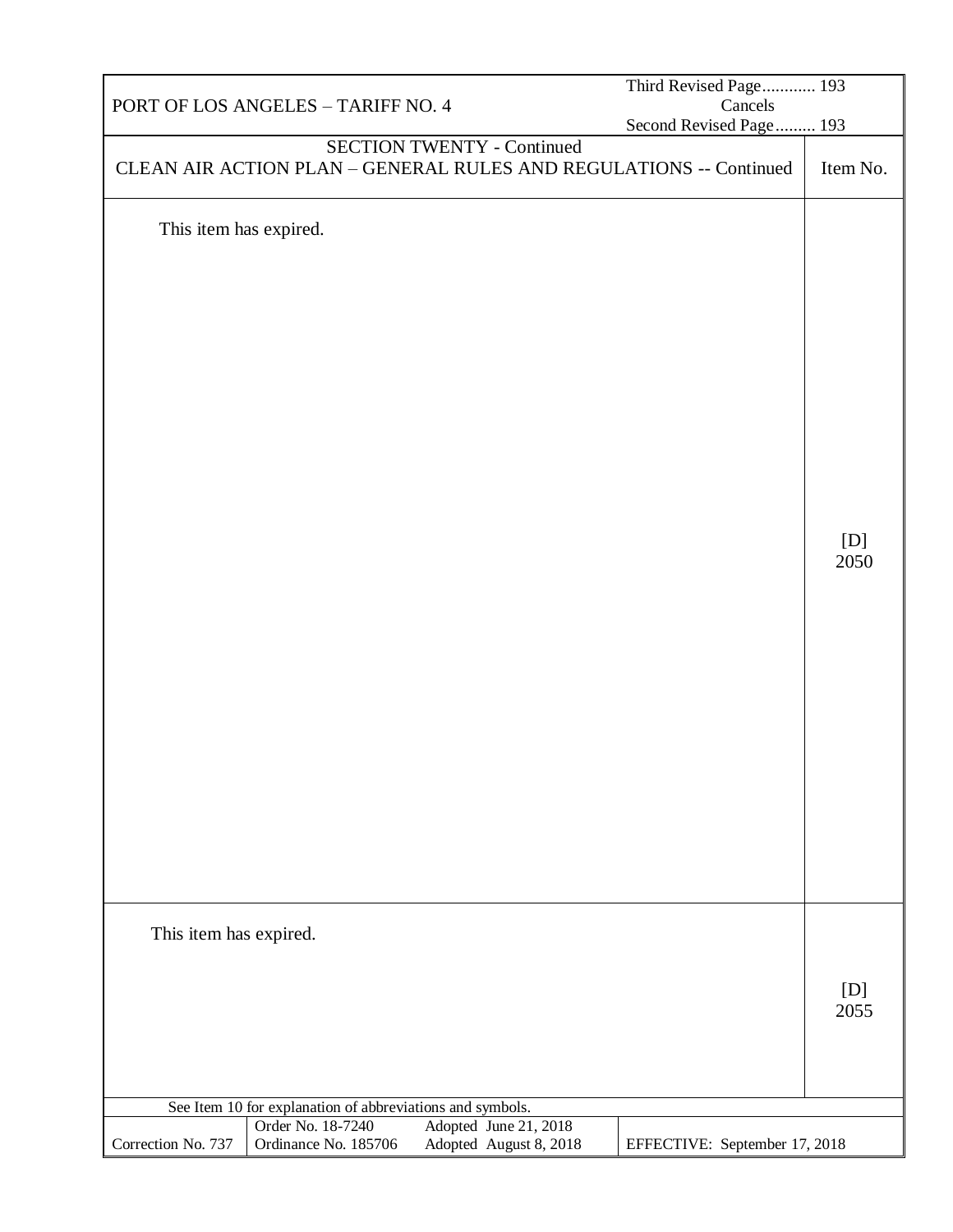|                        |                                                           |                                                 | Third Revised Page 193                                             |             |
|------------------------|-----------------------------------------------------------|-------------------------------------------------|--------------------------------------------------------------------|-------------|
|                        | PORT OF LOS ANGELES - TARIFF NO. 4                        |                                                 | Cancels                                                            |             |
|                        |                                                           |                                                 | Second Revised Page 193                                            |             |
|                        | <b>SECTION TWENTY - Continued</b>                         |                                                 | CLEAN AIR ACTION PLAN - GENERAL RULES AND REGULATIONS -- Continued | Item No.    |
| This item has expired. |                                                           |                                                 |                                                                    | [D]<br>2050 |
| This item has expired. |                                                           |                                                 |                                                                    | [D]<br>2055 |
|                        |                                                           |                                                 |                                                                    |             |
|                        | See Item 10 for explanation of abbreviations and symbols. |                                                 |                                                                    |             |
| Correction No. 737     | Order No. 18-7240<br>Ordinance No. 185706                 | Adopted June 21, 2018<br>Adopted August 8, 2018 | EFFECTIVE: September 17, 2018                                      |             |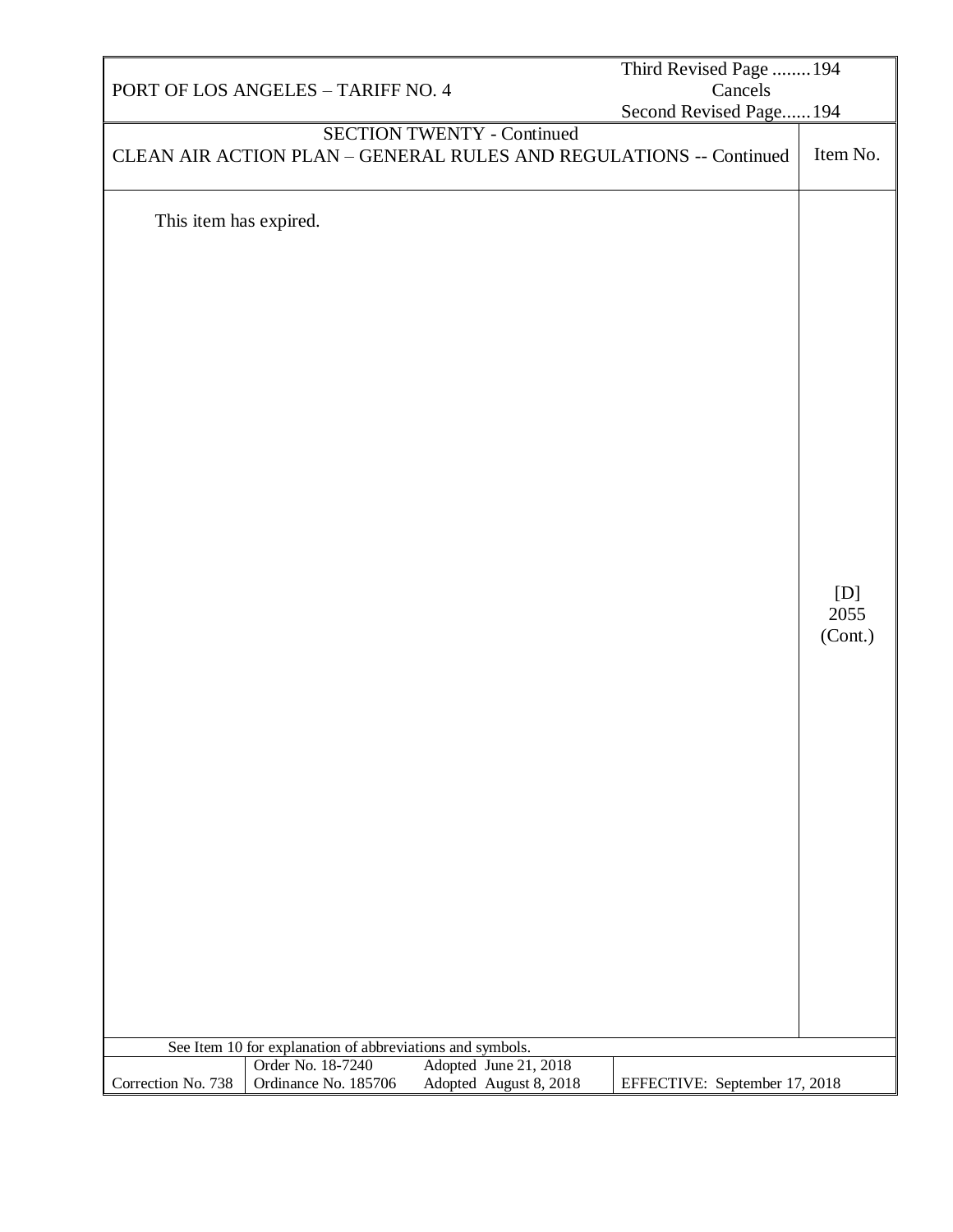|                                                           |                                           |                                                 | Third Revised Page  194                                            |                        |
|-----------------------------------------------------------|-------------------------------------------|-------------------------------------------------|--------------------------------------------------------------------|------------------------|
|                                                           | PORT OF LOS ANGELES - TARIFF NO. 4        |                                                 | Cancels                                                            |                        |
|                                                           |                                           |                                                 | Second Revised Page 194                                            |                        |
|                                                           |                                           |                                                 | CLEAN AIR ACTION PLAN - GENERAL RULES AND REGULATIONS -- Continued | Item No.               |
| This item has expired.                                    |                                           | <b>SECTION TWENTY - Continued</b>               |                                                                    | [D]<br>2055<br>(Cont.) |
|                                                           |                                           |                                                 |                                                                    |                        |
|                                                           |                                           |                                                 |                                                                    |                        |
| See Item 10 for explanation of abbreviations and symbols. |                                           |                                                 |                                                                    |                        |
| Correction No. 738                                        | Order No. 18-7240<br>Ordinance No. 185706 | Adopted June 21, 2018<br>Adopted August 8, 2018 | EFFECTIVE: September 17, 2018                                      |                        |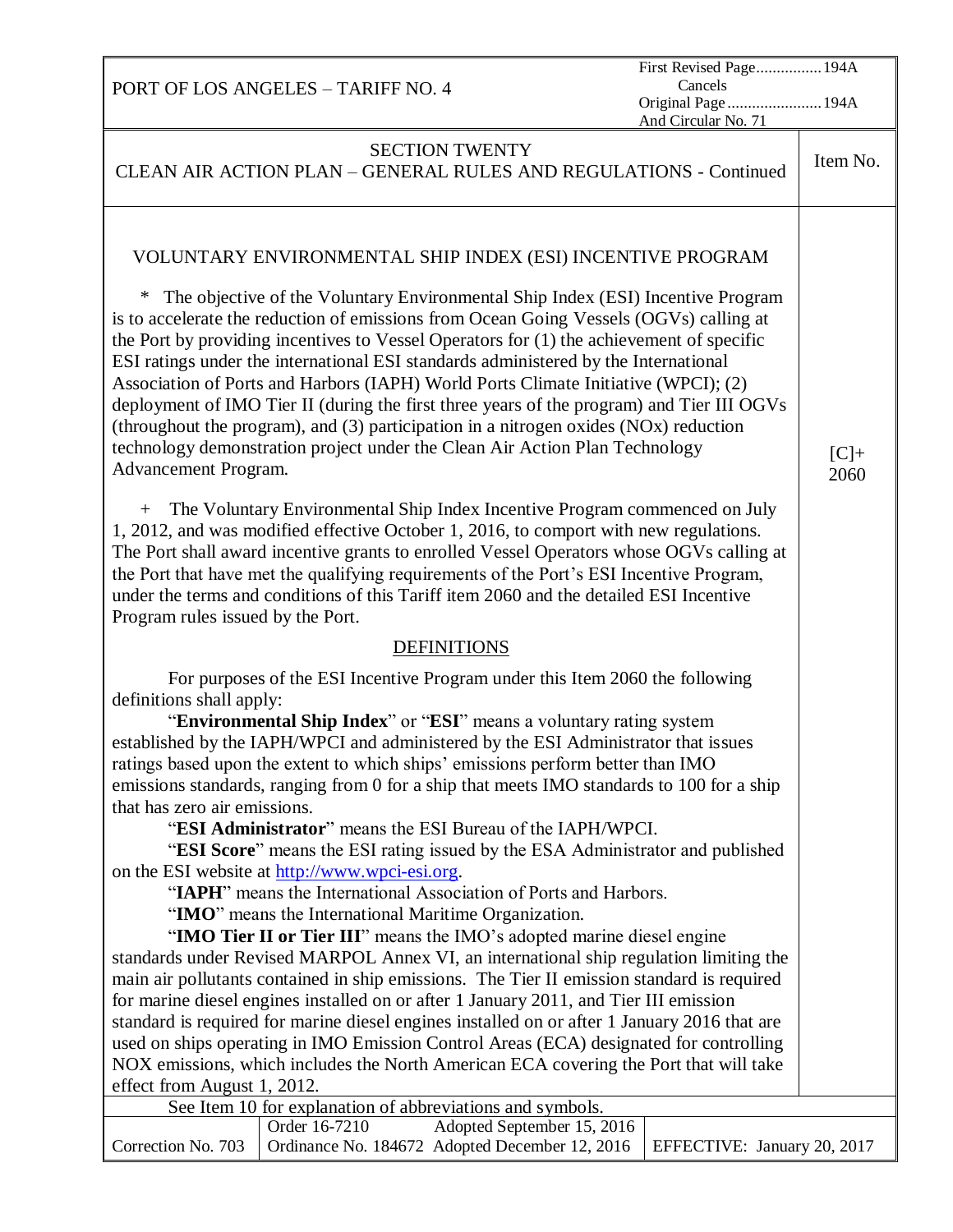| First Revised Page 194A                                                                                                                                                   |          |
|---------------------------------------------------------------------------------------------------------------------------------------------------------------------------|----------|
| Cancels<br>PORT OF LOS ANGELES - TARIFF NO. 4<br>Original Page 194A                                                                                                       |          |
| And Circular No. 71                                                                                                                                                       |          |
| <b>SECTION TWENTY</b>                                                                                                                                                     |          |
| CLEAN AIR ACTION PLAN - GENERAL RULES AND REGULATIONS - Continued                                                                                                         | Item No. |
|                                                                                                                                                                           |          |
|                                                                                                                                                                           |          |
|                                                                                                                                                                           |          |
| VOLUNTARY ENVIRONMENTAL SHIP INDEX (ESI) INCENTIVE PROGRAM                                                                                                                |          |
| ∗                                                                                                                                                                         |          |
| The objective of the Voluntary Environmental Ship Index (ESI) Incentive Program<br>is to accelerate the reduction of emissions from Ocean Going Vessels (OGVs) calling at |          |
| the Port by providing incentives to Vessel Operators for (1) the achievement of specific                                                                                  |          |
| ESI ratings under the international ESI standards administered by the International                                                                                       |          |
| Association of Ports and Harbors (IAPH) World Ports Climate Initiative (WPCI); (2)                                                                                        |          |
| deployment of IMO Tier II (during the first three years of the program) and Tier III OGVs                                                                                 |          |
| (throughout the program), and (3) participation in a nitrogen oxides (NOx) reduction                                                                                      |          |
| technology demonstration project under the Clean Air Action Plan Technology                                                                                               | $[C]+$   |
| Advancement Program.                                                                                                                                                      | 2060     |
|                                                                                                                                                                           |          |
| The Voluntary Environmental Ship Index Incentive Program commenced on July<br>$+$                                                                                         |          |
| 1, 2012, and was modified effective October 1, 2016, to comport with new regulations.                                                                                     |          |
| The Port shall award incentive grants to enrolled Vessel Operators whose OGVs calling at                                                                                  |          |
| the Port that have met the qualifying requirements of the Port's ESI Incentive Program,                                                                                   |          |
| under the terms and conditions of this Tariff item 2060 and the detailed ESI Incentive                                                                                    |          |
| Program rules issued by the Port.                                                                                                                                         |          |
| <b>DEFINITIONS</b>                                                                                                                                                        |          |
| For purposes of the ESI Incentive Program under this Item 2060 the following                                                                                              |          |
| definitions shall apply:                                                                                                                                                  |          |
| "Environmental Ship Index" or "ESI" means a voluntary rating system                                                                                                       |          |
| established by the IAPH/WPCI and administered by the ESI Administrator that issues                                                                                        |          |
| ratings based upon the extent to which ships' emissions perform better than IMO                                                                                           |          |
| emissions standards, ranging from 0 for a ship that meets IMO standards to 100 for a ship                                                                                 |          |
| that has zero air emissions.                                                                                                                                              |          |
| "ESI Administrator" means the ESI Bureau of the IAPH/WPCI.                                                                                                                |          |
| "ESI Score" means the ESI rating issued by the ESA Administrator and published<br>on the ESI website at http://www.wpci-esi.org.                                          |          |
| "IAPH" means the International Association of Ports and Harbors.                                                                                                          |          |
| "IMO" means the International Maritime Organization.                                                                                                                      |          |
| "IMO Tier II or Tier III" means the IMO's adopted marine diesel engine                                                                                                    |          |
| standards under Revised MARPOL Annex VI, an international ship regulation limiting the                                                                                    |          |
| main air pollutants contained in ship emissions. The Tier II emission standard is required                                                                                |          |
| for marine diesel engines installed on or after 1 January 2011, and Tier III emission                                                                                     |          |
| standard is required for marine diesel engines installed on or after 1 January 2016 that are                                                                              |          |
| used on ships operating in IMO Emission Control Areas (ECA) designated for controlling                                                                                    |          |
| NOX emissions, which includes the North American ECA covering the Port that will take                                                                                     |          |
| effect from August 1, 2012.                                                                                                                                               |          |
| See Item 10 for explanation of abbreviations and symbols.                                                                                                                 |          |
| Order 16-7210<br>Adopted September 15, 2016<br>Correction No. 703<br>Ordinance No. 184672 Adopted December 12, 2016<br>EFFECTIVE: January 20, 2017                        |          |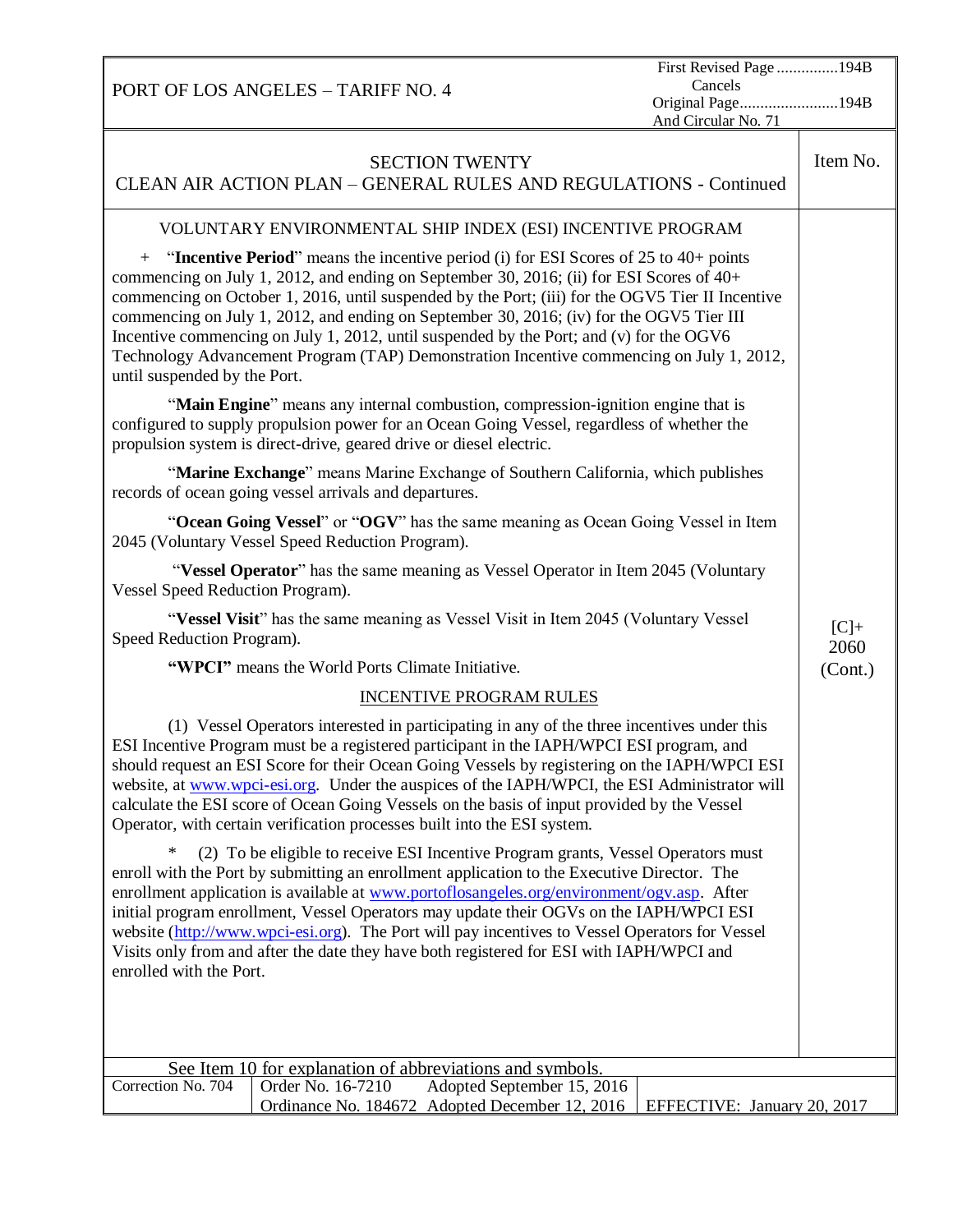| First Revised Page 194B<br>Cancels<br>PORT OF LOS ANGELES - TARIFF NO. 4<br>Original Page194B<br>And Circular No. 71                                                                                                                                                                                                                                                                                                                                                                                                                                                                                        |                |  |
|-------------------------------------------------------------------------------------------------------------------------------------------------------------------------------------------------------------------------------------------------------------------------------------------------------------------------------------------------------------------------------------------------------------------------------------------------------------------------------------------------------------------------------------------------------------------------------------------------------------|----------------|--|
| <b>SECTION TWENTY</b><br>CLEAN AIR ACTION PLAN - GENERAL RULES AND REGULATIONS - Continued                                                                                                                                                                                                                                                                                                                                                                                                                                                                                                                  | Item No.       |  |
| VOLUNTARY ENVIRONMENTAL SHIP INDEX (ESI) INCENTIVE PROGRAM                                                                                                                                                                                                                                                                                                                                                                                                                                                                                                                                                  |                |  |
| $+$ "Incentive Period" means the incentive period (i) for ESI Scores of 25 to 40+ points<br>commencing on July 1, 2012, and ending on September 30, 2016; (ii) for ESI Scores of 40+<br>commencing on October 1, 2016, until suspended by the Port; (iii) for the OGV5 Tier II Incentive<br>commencing on July 1, 2012, and ending on September 30, 2016; (iv) for the OGV5 Tier III<br>Incentive commencing on July 1, 2012, until suspended by the Port; and (v) for the OGV6<br>Technology Advancement Program (TAP) Demonstration Incentive commencing on July 1, 2012,<br>until suspended by the Port. |                |  |
| "Main Engine" means any internal combustion, compression-ignition engine that is<br>configured to supply propulsion power for an Ocean Going Vessel, regardless of whether the<br>propulsion system is direct-drive, geared drive or diesel electric.                                                                                                                                                                                                                                                                                                                                                       |                |  |
| "Marine Exchange" means Marine Exchange of Southern California, which publishes<br>records of ocean going vessel arrivals and departures.                                                                                                                                                                                                                                                                                                                                                                                                                                                                   |                |  |
| "Ocean Going Vessel" or "OGV" has the same meaning as Ocean Going Vessel in Item<br>2045 (Voluntary Vessel Speed Reduction Program).                                                                                                                                                                                                                                                                                                                                                                                                                                                                        |                |  |
| "Vessel Operator" has the same meaning as Vessel Operator in Item 2045 (Voluntary<br>Vessel Speed Reduction Program).                                                                                                                                                                                                                                                                                                                                                                                                                                                                                       |                |  |
| "Vessel Visit" has the same meaning as Vessel Visit in Item 2045 (Voluntary Vessel<br>Speed Reduction Program).                                                                                                                                                                                                                                                                                                                                                                                                                                                                                             | $[C]+$<br>2060 |  |
| "WPCI" means the World Ports Climate Initiative.                                                                                                                                                                                                                                                                                                                                                                                                                                                                                                                                                            | (Cont.)        |  |
| <b>INCENTIVE PROGRAM RULES</b>                                                                                                                                                                                                                                                                                                                                                                                                                                                                                                                                                                              |                |  |
| (1) Vessel Operators interested in participating in any of the three incentives under this<br>ESI Incentive Program must be a registered participant in the IAPH/WPCI ESI program, and<br>should request an ESI Score for their Ocean Going Vessels by registering on the IAPH/WPCI ESI<br>website, at www.wpci-esi.org. Under the auspices of the IAPH/WPCI, the ESI Administrator will<br>calculate the ESI score of Ocean Going Vessels on the basis of input provided by the Vessel<br>Operator, with certain verification processes built into the ESI system.                                         |                |  |
| (2) To be eligible to receive ESI Incentive Program grants, Vessel Operators must<br>enroll with the Port by submitting an enrollment application to the Executive Director. The<br>enrollment application is available at www.portoflosangeles.org/environment/ogv.asp. After<br>initial program enrollment, Vessel Operators may update their OGVs on the IAPH/WPCI ESI<br>website (http://www.wpci-esi.org). The Port will pay incentives to Vessel Operators for Vessel<br>Visits only from and after the date they have both registered for ESI with IAPH/WPCI and<br>enrolled with the Port.          |                |  |
| See Item 10 for explanation of abbreviations and symbols.                                                                                                                                                                                                                                                                                                                                                                                                                                                                                                                                                   |                |  |
| Correction No. 704<br>Order No. 16-7210<br>Adopted September 15, 2016<br>Ordinance No. 184672<br>Adopted December 12, 2016<br>EFFECTIVE: January 20, 2017                                                                                                                                                                                                                                                                                                                                                                                                                                                   |                |  |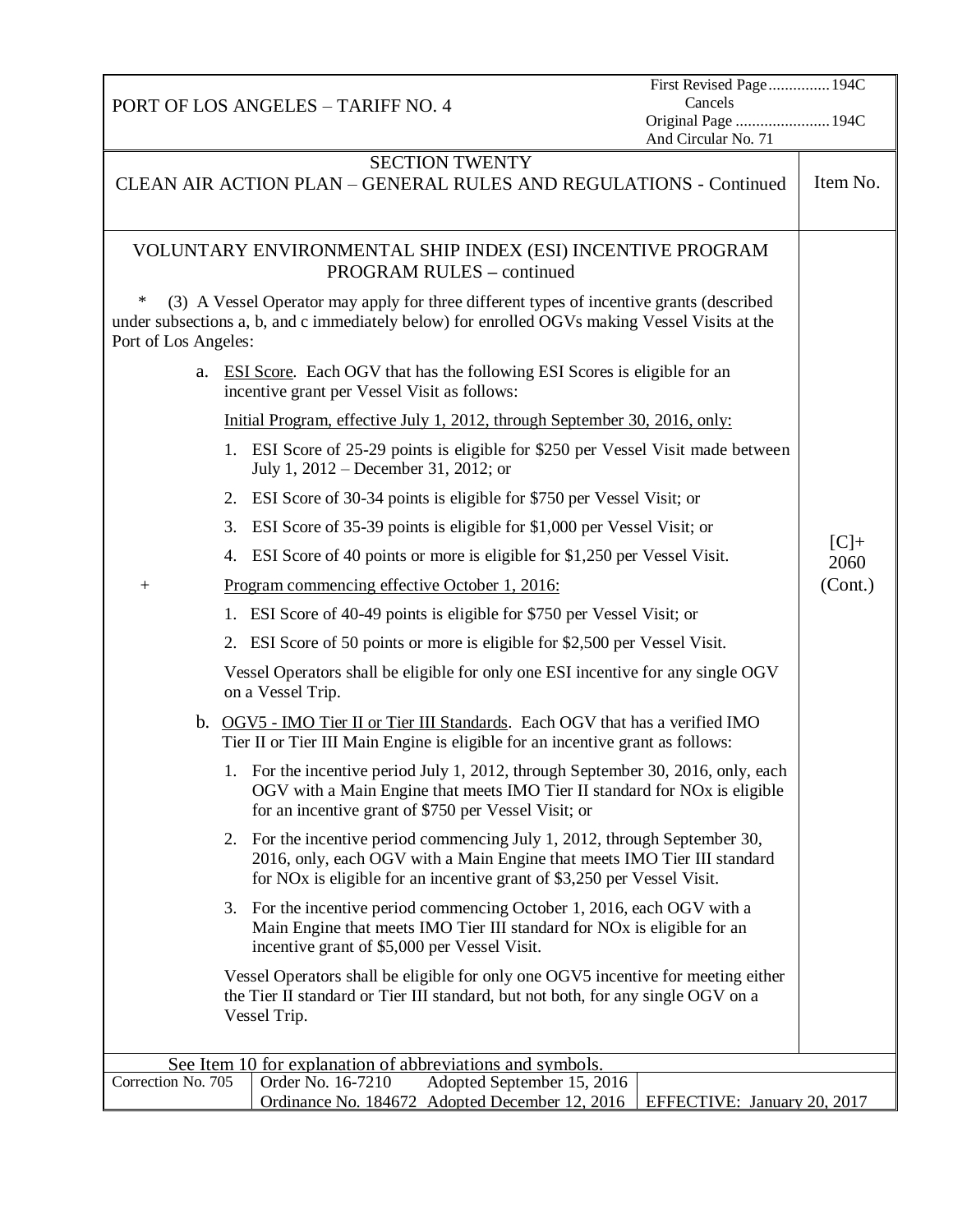| PORT OF LOS ANGELES - TARIFF NO. 4                                                                                                                                                                                           |                                                                                                                                                                                                                                               | First Revised Page 194C<br>Cancels<br>Original Page  194C<br>And Circular No. 71 |                |
|------------------------------------------------------------------------------------------------------------------------------------------------------------------------------------------------------------------------------|-----------------------------------------------------------------------------------------------------------------------------------------------------------------------------------------------------------------------------------------------|----------------------------------------------------------------------------------|----------------|
|                                                                                                                                                                                                                              | <b>SECTION TWENTY</b>                                                                                                                                                                                                                         |                                                                                  | Item No.       |
|                                                                                                                                                                                                                              | CLEAN AIR ACTION PLAN - GENERAL RULES AND REGULATIONS - Continued                                                                                                                                                                             |                                                                                  |                |
| VOLUNTARY ENVIRONMENTAL SHIP INDEX (ESI) INCENTIVE PROGRAM<br><b>PROGRAM RULES - continued</b>                                                                                                                               |                                                                                                                                                                                                                                               |                                                                                  |                |
| $\ast$<br>(3) A Vessel Operator may apply for three different types of incentive grants (described<br>under subsections a, b, and c immediately below) for enrolled OGVs making Vessel Visits at the<br>Port of Los Angeles: |                                                                                                                                                                                                                                               |                                                                                  |                |
|                                                                                                                                                                                                                              | a. ESI Score. Each OGV that has the following ESI Scores is eligible for an<br>incentive grant per Vessel Visit as follows:                                                                                                                   |                                                                                  |                |
|                                                                                                                                                                                                                              | Initial Program, effective July 1, 2012, through September 30, 2016, only:                                                                                                                                                                    |                                                                                  |                |
|                                                                                                                                                                                                                              | 1. ESI Score of 25-29 points is eligible for \$250 per Vessel Visit made between<br>July 1, $2012$ – December 31, 2012; or                                                                                                                    |                                                                                  |                |
|                                                                                                                                                                                                                              | 2. ESI Score of 30-34 points is eligible for \$750 per Vessel Visit; or                                                                                                                                                                       |                                                                                  |                |
| 3.                                                                                                                                                                                                                           | ESI Score of 35-39 points is eligible for \$1,000 per Vessel Visit; or                                                                                                                                                                        |                                                                                  |                |
| 4.                                                                                                                                                                                                                           | ESI Score of 40 points or more is eligible for \$1,250 per Vessel Visit.                                                                                                                                                                      |                                                                                  | $[C]+$<br>2060 |
| $+$                                                                                                                                                                                                                          | Program commencing effective October 1, 2016:                                                                                                                                                                                                 |                                                                                  | (Cont.)        |
|                                                                                                                                                                                                                              | 1. ESI Score of 40-49 points is eligible for \$750 per Vessel Visit; or                                                                                                                                                                       |                                                                                  |                |
|                                                                                                                                                                                                                              | 2. ESI Score of 50 points or more is eligible for \$2,500 per Vessel Visit.                                                                                                                                                                   |                                                                                  |                |
|                                                                                                                                                                                                                              | Vessel Operators shall be eligible for only one ESI incentive for any single OGV<br>on a Vessel Trip.                                                                                                                                         |                                                                                  |                |
|                                                                                                                                                                                                                              | b. OGV5 - IMO Tier II or Tier III Standards. Each OGV that has a verified IMO<br>Tier II or Tier III Main Engine is eligible for an incentive grant as follows:                                                                               |                                                                                  |                |
|                                                                                                                                                                                                                              | 1. For the incentive period July 1, 2012, through September 30, 2016, only, each<br>OGV with a Main Engine that meets IMO Tier II standard for NO <sub>x</sub> is eligible<br>for an incentive grant of \$750 per Vessel Visit; or            |                                                                                  |                |
|                                                                                                                                                                                                                              | 2. For the incentive period commencing July 1, 2012, through September 30,<br>2016, only, each OGV with a Main Engine that meets IMO Tier III standard<br>for NO <sub>x</sub> is eligible for an incentive grant of \$3,250 per Vessel Visit. |                                                                                  |                |
|                                                                                                                                                                                                                              | 3. For the incentive period commencing October 1, 2016, each OGV with a<br>Main Engine that meets IMO Tier III standard for NO <sub>x</sub> is eligible for an<br>incentive grant of \$5,000 per Vessel Visit.                                |                                                                                  |                |
|                                                                                                                                                                                                                              | Vessel Operators shall be eligible for only one OGV5 incentive for meeting either<br>the Tier II standard or Tier III standard, but not both, for any single OGV on a<br>Vessel Trip.                                                         |                                                                                  |                |
| See Item 10 for explanation of abbreviations and symbols.                                                                                                                                                                    |                                                                                                                                                                                                                                               |                                                                                  |                |
| Correction No. 705                                                                                                                                                                                                           | Order No. 16-7210<br>Adopted September 15, 2016<br>Ordinance No. 184672 Adopted December 12, 2016                                                                                                                                             | EFFECTIVE: January 20, 2017                                                      |                |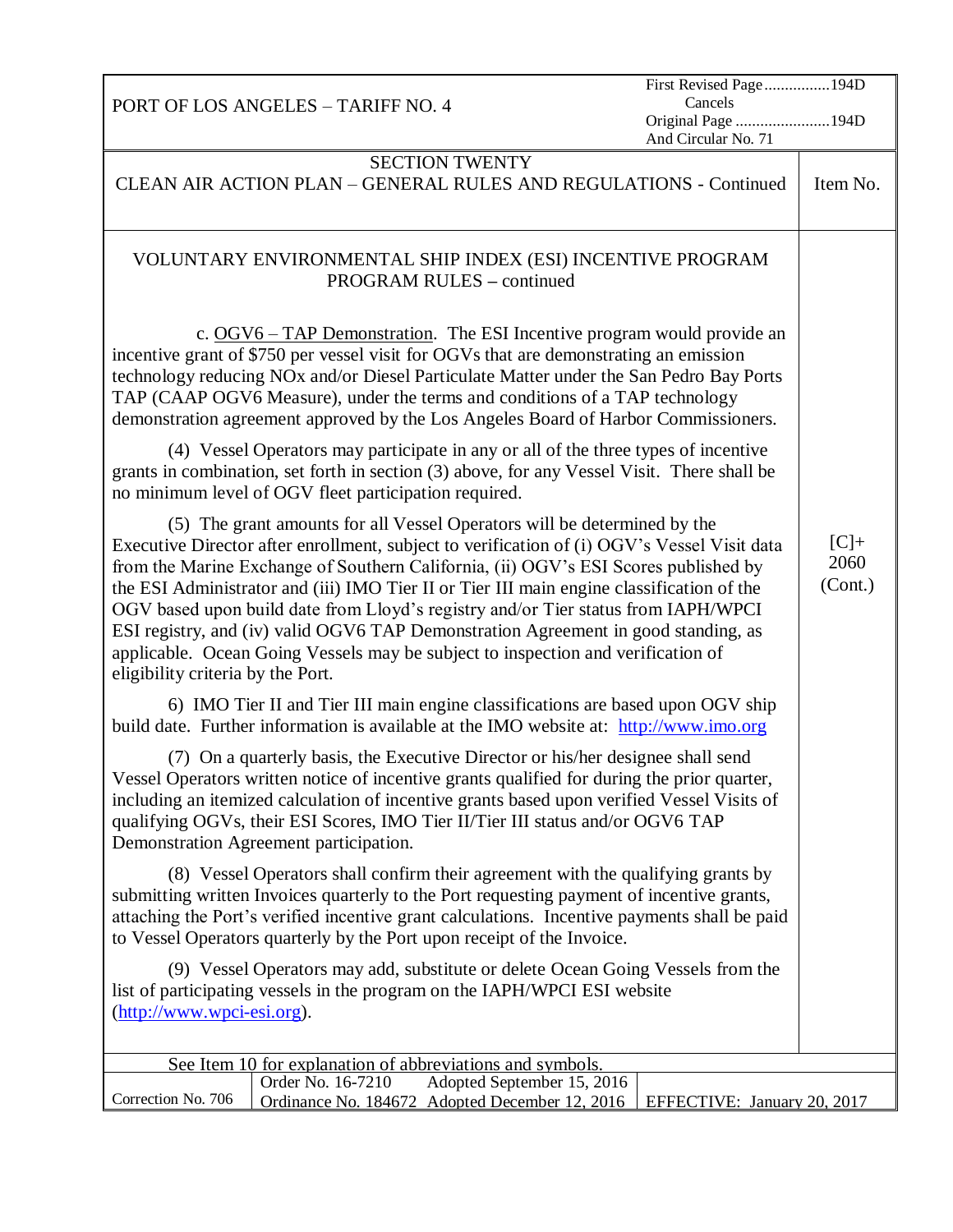| PORT OF LOS ANGELES - TARIFF NO. 4                                                                                                                                                                                                                                                                                                                                                                                                                                                                                                                                                                                                                              | First Revised Page194D<br>Cancels<br>Original Page 194D<br>And Circular No. 71 |                           |
|-----------------------------------------------------------------------------------------------------------------------------------------------------------------------------------------------------------------------------------------------------------------------------------------------------------------------------------------------------------------------------------------------------------------------------------------------------------------------------------------------------------------------------------------------------------------------------------------------------------------------------------------------------------------|--------------------------------------------------------------------------------|---------------------------|
| <b>SECTION TWENTY</b><br>CLEAN AIR ACTION PLAN - GENERAL RULES AND REGULATIONS - Continued                                                                                                                                                                                                                                                                                                                                                                                                                                                                                                                                                                      |                                                                                | Item No.                  |
| VOLUNTARY ENVIRONMENTAL SHIP INDEX (ESI) INCENTIVE PROGRAM<br><b>PROGRAM RULES – continued</b>                                                                                                                                                                                                                                                                                                                                                                                                                                                                                                                                                                  |                                                                                |                           |
| c. $OGV6 - TAP$ Demonstration. The ESI Incentive program would provide an<br>incentive grant of \$750 per vessel visit for OGVs that are demonstrating an emission<br>technology reducing NOx and/or Diesel Particulate Matter under the San Pedro Bay Ports<br>TAP (CAAP OGV6 Measure), under the terms and conditions of a TAP technology<br>demonstration agreement approved by the Los Angeles Board of Harbor Commissioners.                                                                                                                                                                                                                               |                                                                                |                           |
| (4) Vessel Operators may participate in any or all of the three types of incentive<br>grants in combination, set forth in section (3) above, for any Vessel Visit. There shall be<br>no minimum level of OGV fleet participation required.                                                                                                                                                                                                                                                                                                                                                                                                                      |                                                                                |                           |
| (5) The grant amounts for all Vessel Operators will be determined by the<br>Executive Director after enrollment, subject to verification of (i) OGV's Vessel Visit data<br>from the Marine Exchange of Southern California, (ii) OGV's ESI Scores published by<br>the ESI Administrator and (iii) IMO Tier II or Tier III main engine classification of the<br>OGV based upon build date from Lloyd's registry and/or Tier status from IAPH/WPCI<br>ESI registry, and (iv) valid OGV6 TAP Demonstration Agreement in good standing, as<br>applicable. Ocean Going Vessels may be subject to inspection and verification of<br>eligibility criteria by the Port. |                                                                                | $[C]+$<br>2060<br>(Cont.) |
| 6) IMO Tier II and Tier III main engine classifications are based upon OGV ship<br>build date. Further information is available at the IMO website at: http://www.imo.org                                                                                                                                                                                                                                                                                                                                                                                                                                                                                       |                                                                                |                           |
| (7) On a quarterly basis, the Executive Director or his/her designee shall send<br>Vessel Operators written notice of incentive grants qualified for during the prior quarter,<br>including an itemized calculation of incentive grants based upon verified Vessel Visits of<br>qualifying OGVs, their ESI Scores, IMO Tier II/Tier III status and/or OGV6 TAP<br>Demonstration Agreement participation.                                                                                                                                                                                                                                                        |                                                                                |                           |
| (8) Vessel Operators shall confirm their agreement with the qualifying grants by<br>submitting written Invoices quarterly to the Port requesting payment of incentive grants,<br>attaching the Port's verified incentive grant calculations. Incentive payments shall be paid<br>to Vessel Operators quarterly by the Port upon receipt of the Invoice.                                                                                                                                                                                                                                                                                                         |                                                                                |                           |
| (9) Vessel Operators may add, substitute or delete Ocean Going Vessels from the<br>list of participating vessels in the program on the IAPH/WPCI ESI website<br>(http://www.wpci-esi.org).                                                                                                                                                                                                                                                                                                                                                                                                                                                                      |                                                                                |                           |
| See Item 10 for explanation of abbreviations and symbols.                                                                                                                                                                                                                                                                                                                                                                                                                                                                                                                                                                                                       |                                                                                |                           |
| Order No. 16-7210<br>Adopted September 15, 2016<br>Correction No. 706<br>Ordinance No. 184672 Adopted December 12, 2016<br>EFFECTIVE: January 20, 2017                                                                                                                                                                                                                                                                                                                                                                                                                                                                                                          |                                                                                |                           |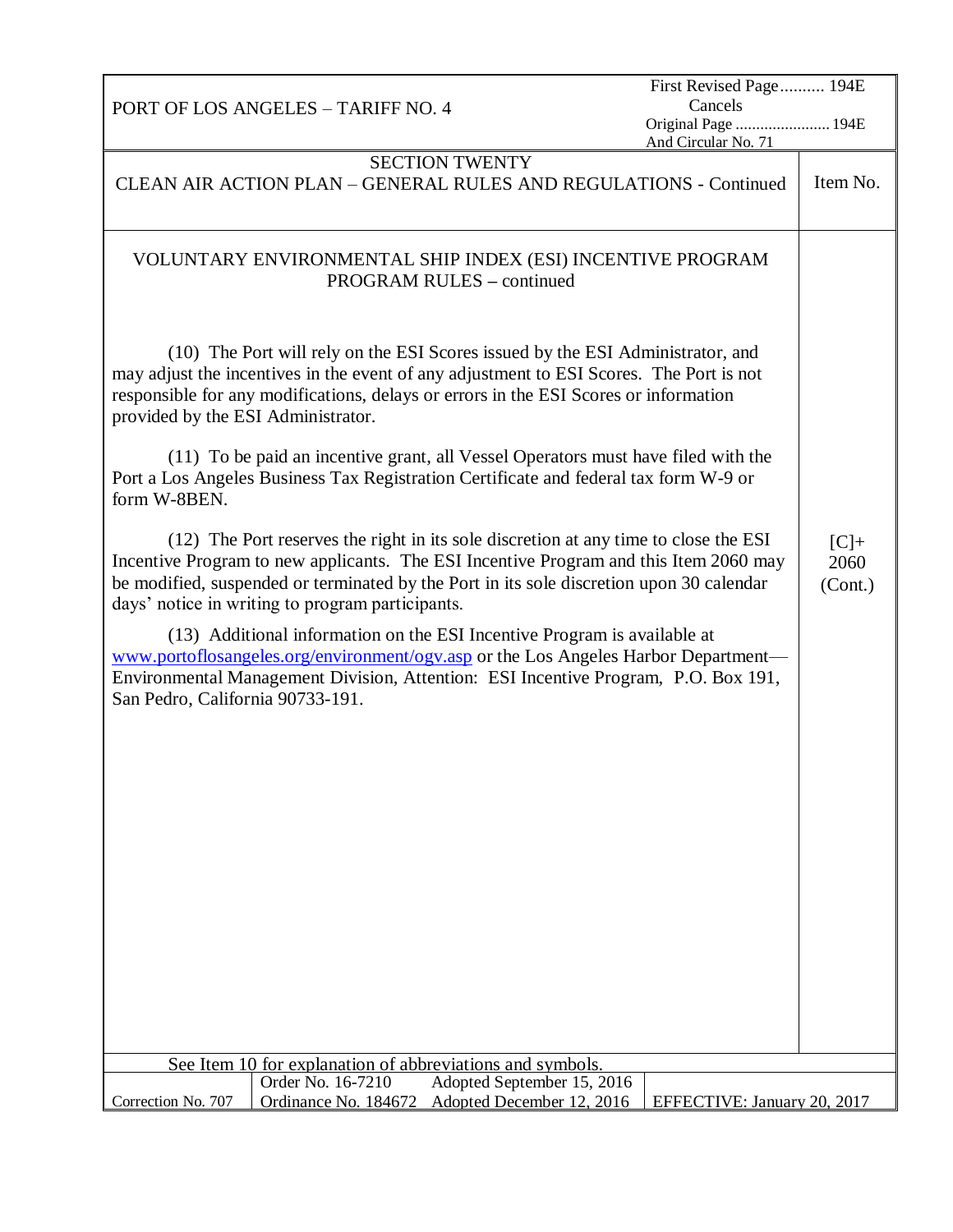| PORT OF LOS ANGELES - TARIFF NO. 4                                                                                                                                                                                                                                                                                                                                                                                                                                                   | First Revised Page 194E<br>Cancels         |                           |
|--------------------------------------------------------------------------------------------------------------------------------------------------------------------------------------------------------------------------------------------------------------------------------------------------------------------------------------------------------------------------------------------------------------------------------------------------------------------------------------|--------------------------------------------|---------------------------|
|                                                                                                                                                                                                                                                                                                                                                                                                                                                                                      | Original Page  194E<br>And Circular No. 71 |                           |
| <b>SECTION TWENTY</b>                                                                                                                                                                                                                                                                                                                                                                                                                                                                |                                            |                           |
| CLEAN AIR ACTION PLAN - GENERAL RULES AND REGULATIONS - Continued                                                                                                                                                                                                                                                                                                                                                                                                                    |                                            | Item No.                  |
| VOLUNTARY ENVIRONMENTAL SHIP INDEX (ESI) INCENTIVE PROGRAM<br><b>PROGRAM RULES – continued</b>                                                                                                                                                                                                                                                                                                                                                                                       |                                            |                           |
| (10) The Port will rely on the ESI Scores issued by the ESI Administrator, and<br>may adjust the incentives in the event of any adjustment to ESI Scores. The Port is not<br>responsible for any modifications, delays or errors in the ESI Scores or information<br>provided by the ESI Administrator.<br>(11) To be paid an incentive grant, all Vessel Operators must have filed with the<br>Port a Los Angeles Business Tax Registration Certificate and federal tax form W-9 or |                                            |                           |
| form W-8BEN.                                                                                                                                                                                                                                                                                                                                                                                                                                                                         |                                            |                           |
| (12) The Port reserves the right in its sole discretion at any time to close the ESI<br>Incentive Program to new applicants. The ESI Incentive Program and this Item 2060 may<br>be modified, suspended or terminated by the Port in its sole discretion upon 30 calendar<br>days' notice in writing to program participants.                                                                                                                                                        |                                            | $[C]+$<br>2060<br>(Cont.) |
| (13) Additional information on the ESI Incentive Program is available at<br>www.portoflosangeles.org/environment/ogy.asp or the Los Angeles Harbor Department—<br>Environmental Management Division, Attention: ESI Incentive Program, P.O. Box 191,<br>San Pedro, California 90733-191.                                                                                                                                                                                             |                                            |                           |
|                                                                                                                                                                                                                                                                                                                                                                                                                                                                                      |                                            |                           |
|                                                                                                                                                                                                                                                                                                                                                                                                                                                                                      |                                            |                           |
|                                                                                                                                                                                                                                                                                                                                                                                                                                                                                      |                                            |                           |
|                                                                                                                                                                                                                                                                                                                                                                                                                                                                                      |                                            |                           |
|                                                                                                                                                                                                                                                                                                                                                                                                                                                                                      |                                            |                           |
| See Item 10 for explanation of abbreviations and symbols.                                                                                                                                                                                                                                                                                                                                                                                                                            |                                            |                           |
| Order No. 16-7210<br>Adopted September 15, 2016<br>Adopted December 12, 2016<br>Correction No. 707<br>Ordinance No. 184672                                                                                                                                                                                                                                                                                                                                                           | EFFECTIVE: January 20, 2017                |                           |